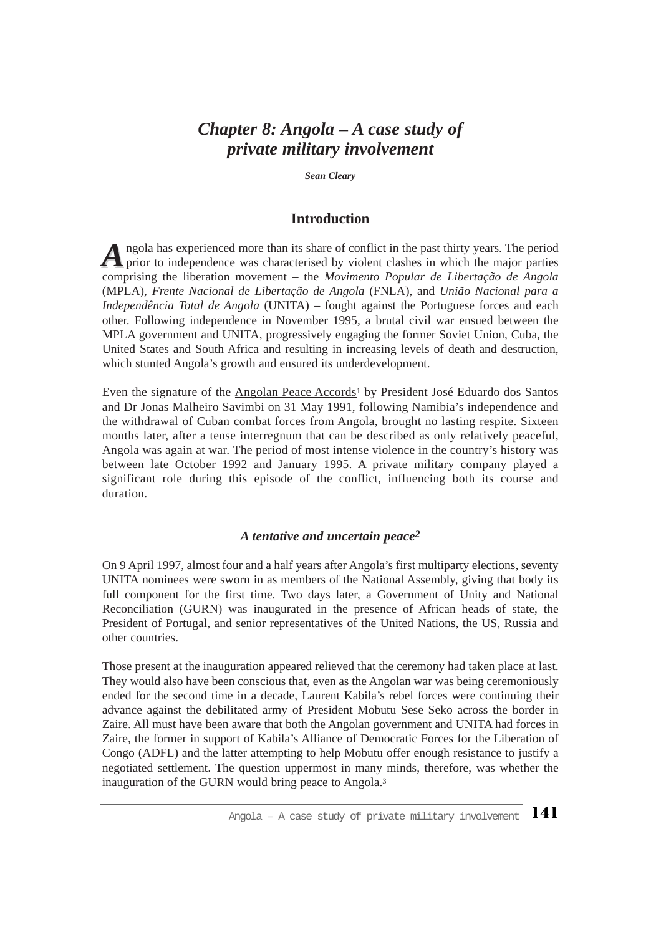## *Chapter 8: Angola – A case study of private military involvement*

*Sean Cleary*

### **Introduction**

A ngola has experienced more than its share of conflict in the past thirty years. The period prior to independence was characterised by violent clashes in which the major parties comprising the liberation movement – the *Movimento Popular de Libertação de Angola* (MPLA), *Frente Nacional de Libertação de Angola* (FNLA), and *União Nacional para a Independência Total de Angola* (UNITA) – fought against the Portuguese forces and each other. Following independence in November 1995, a brutal civil war ensued between the MPLA government and UNITA, progressively engaging the former Soviet Union, Cuba, the United States and South Africa and resulting in increasing levels of death and destruction, which stunted Angola's growth and ensured its underdevelopment.

Even the signature of the Angolan Peace Accords<sup>1</sup> by President José Eduardo dos Santos and Dr Jonas Malheiro Savimbi on 31 May 1991, following Namibia's independence and the withdrawal of Cuban combat forces from Angola, brought no lasting respite. Sixteen months later, after a tense interregnum that can be described as only relatively peaceful, Angola was again at war. The period of most intense violence in the country's history was between late October 1992 and January 1995. A private military company played a significant role during this episode of the conflict, influencing both its course and duration.

#### *A tentative and uncertain peace2*

On 9 April 1997, almost four and a half years after Angola's first multiparty elections, seventy UNITA nominees were sworn in as members of the National Assembly, giving that body its full component for the first time. Two days later, a Government of Unity and National Reconciliation (GURN) was inaugurated in the presence of African heads of state, the President of Portugal, and senior representatives of the United Nations, the US, Russia and other countries.

Those present at the inauguration appeared relieved that the ceremony had taken place at last. They would also have been conscious that, even as the Angolan war was being ceremoniously ended for the second time in a decade, Laurent Kabila's rebel forces were continuing their advance against the debilitated army of President Mobutu Sese Seko across the border in Zaire. All must have been aware that both the Angolan government and UNITA had forces in Zaire, the former in support of Kabila's Alliance of Democratic Forces for the Liberation of Congo (ADFL) and the latter attempting to help Mobutu offer enough resistance to justify a negotiated settlement. The question uppermost in many minds, therefore, was whether the inauguration of the GURN would bring peace to Angola.3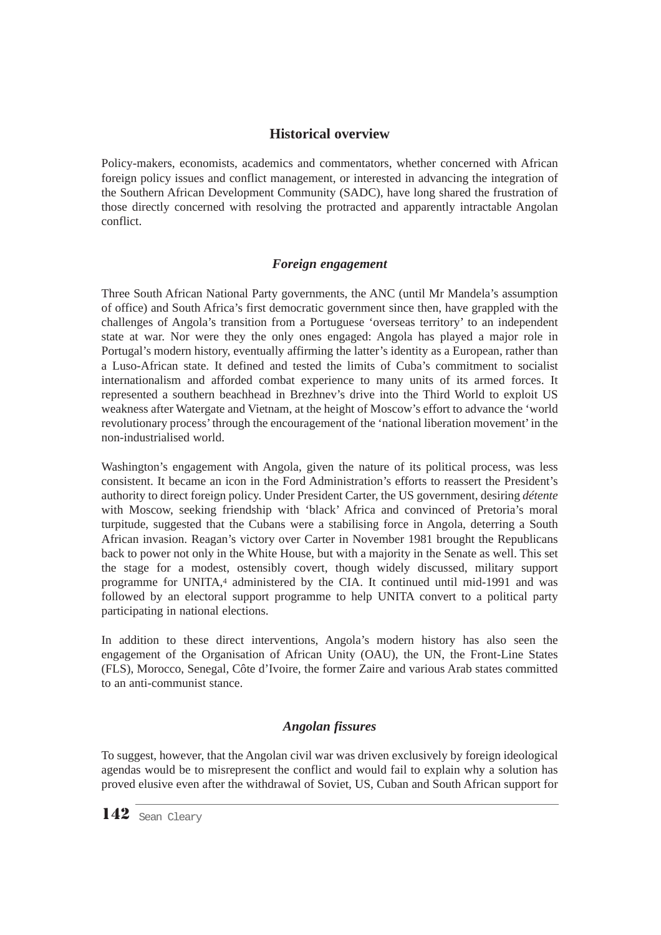## **Historical overview**

Policy-makers, economists, academics and commentators, whether concerned with African foreign policy issues and conflict management, or interested in advancing the integration of the Southern African Development Community (SADC), have long shared the frustration of those directly concerned with resolving the protracted and apparently intractable Angolan conflict.

### *Foreign engagement*

Three South African National Party governments, the ANC (until Mr Mandela's assumption of office) and South Africa's first democratic government since then, have grappled with the challenges of Angola's transition from a Portuguese 'overseas territory' to an independent state at war. Nor were they the only ones engaged: Angola has played a major role in Portugal's modern history, eventually affirming the latter's identity as a European, rather than a Luso-African state. It defined and tested the limits of Cuba's commitment to socialist internationalism and afforded combat experience to many units of its armed forces. It represented a southern beachhead in Brezhnev's drive into the Third World to exploit US weakness after Watergate and Vietnam, at the height of Moscow's effort to advance the 'world revolutionary process' through the encouragement of the 'national liberation movement' in the non-industrialised world.

Washington's engagement with Angola, given the nature of its political process, was less consistent. It became an icon in the Ford Administration's efforts to reassert the President's authority to direct foreign policy. Under President Carter, the US government, desiring *détente* with Moscow, seeking friendship with 'black' Africa and convinced of Pretoria's moral turpitude, suggested that the Cubans were a stabilising force in Angola, deterring a South African invasion. Reagan's victory over Carter in November 1981 brought the Republicans back to power not only in the White House, but with a majority in the Senate as well. This set the stage for a modest, ostensibly covert, though widely discussed, military support programme for UNITA,4 administered by the CIA. It continued until mid-1991 and was followed by an electoral support programme to help UNITA convert to a political party participating in national elections.

In addition to these direct interventions, Angola's modern history has also seen the engagement of the Organisation of African Unity (OAU), the UN, the Front-Line States (FLS), Morocco, Senegal, Côte d'Ivoire, the former Zaire and various Arab states committed to an anti-communist stance.

## *Angolan fissures*

To suggest, however, that the Angolan civil war was driven exclusively by foreign ideological agendas would be to misrepresent the conflict and would fail to explain why a solution has proved elusive even after the withdrawal of Soviet, US, Cuban and South African support for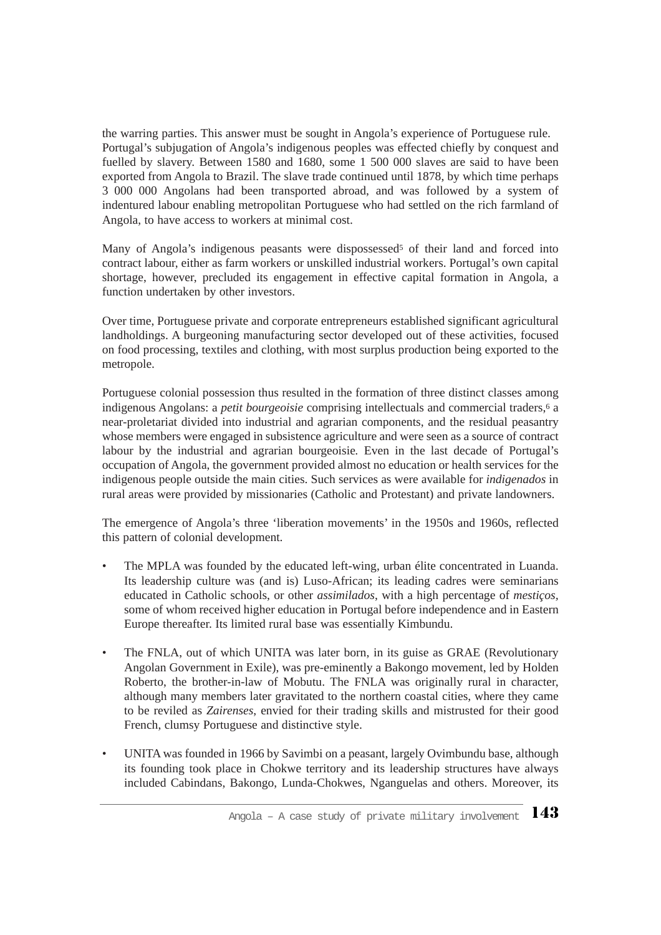the warring parties. This answer must be sought in Angola's experience of Portuguese rule. Portugal's subjugation of Angola's indigenous peoples was effected chiefly by conquest and fuelled by slavery. Between 1580 and 1680, some 1 500 000 slaves are said to have been exported from Angola to Brazil. The slave trade continued until 1878, by which time perhaps 3 000 000 Angolans had been transported abroad, and was followed by a system of indentured labour enabling metropolitan Portuguese who had settled on the rich farmland of Angola, to have access to workers at minimal cost.

Many of Angola's indigenous peasants were dispossessed<sup>5</sup> of their land and forced into contract labour, either as farm workers or unskilled industrial workers. Portugal's own capital shortage, however, precluded its engagement in effective capital formation in Angola, a function undertaken by other investors.

Over time, Portuguese private and corporate entrepreneurs established significant agricultural landholdings. A burgeoning manufacturing sector developed out of these activities, focused on food processing, textiles and clothing, with most surplus production being exported to the metropole.

Portuguese colonial possession thus resulted in the formation of three distinct classes among indigenous Angolans: a *petit bourgeoisie* comprising intellectuals and commercial traders,<sup>6</sup> a near-proletariat divided into industrial and agrarian components, and the residual peasantry whose members were engaged in subsistence agriculture and were seen as a source of contract labour by the industrial and agrarian bourgeoisie*.* Even in the last decade of Portugal's occupation of Angola, the government provided almost no education or health services for the indigenous people outside the main cities. Such services as were available for *indigenados* in rural areas were provided by missionaries (Catholic and Protestant) and private landowners.

The emergence of Angola's three 'liberation movements' in the 1950s and 1960s, reflected this pattern of colonial development.

- The MPLA was founded by the educated left-wing, urban élite concentrated in Luanda. Its leadership culture was (and is) Luso-African; its leading cadres were seminarians educated in Catholic schools, or other *assimilados*, with a high percentage of *mestiços,* some of whom received higher education in Portugal before independence and in Eastern Europe thereafter. Its limited rural base was essentially Kimbundu.
- The FNLA, out of which UNITA was later born, in its guise as GRAE (Revolutionary Angolan Government in Exile), was pre-eminently a Bakongo movement, led by Holden Roberto, the brother-in-law of Mobutu. The FNLA was originally rural in character, although many members later gravitated to the northern coastal cities, where they came to be reviled as *Zairenses*, envied for their trading skills and mistrusted for their good French, clumsy Portuguese and distinctive style.
- UNITA was founded in 1966 by Savimbi on a peasant, largely Ovimbundu base, although its founding took place in Chokwe territory and its leadership structures have always included Cabindans, Bakongo, Lunda-Chokwes, Nganguelas and others. Moreover, its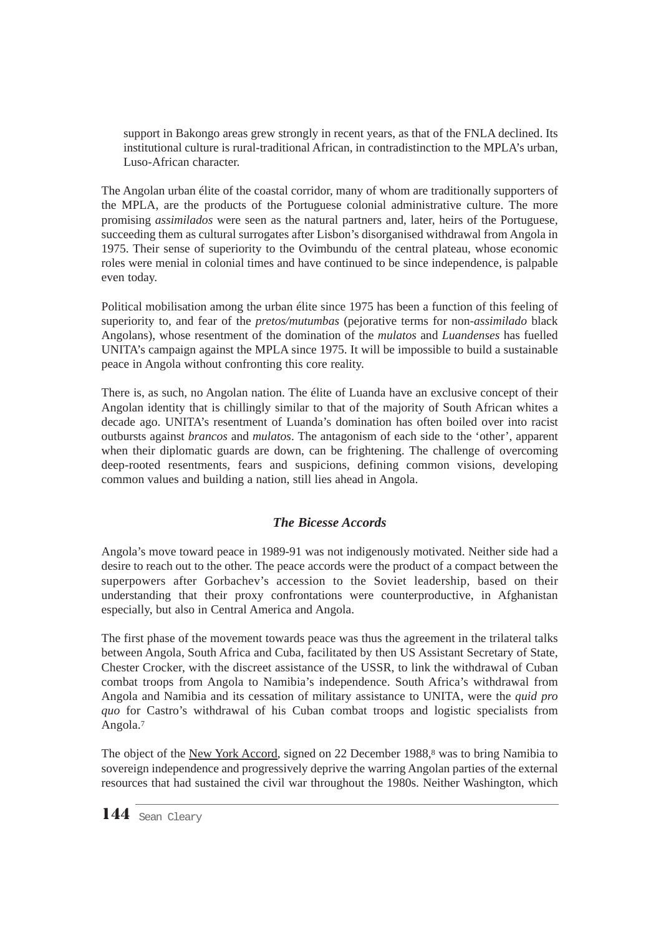support in Bakongo areas grew strongly in recent years, as that of the FNLA declined. Its institutional culture is rural-traditional African, in contradistinction to the MPLA's urban, Luso-African character.

The Angolan urban élite of the coastal corridor, many of whom are traditionally supporters of the MPLA, are the products of the Portuguese colonial administrative culture. The more promising *assimilados* were seen as the natural partners and, later, heirs of the Portuguese, succeeding them as cultural surrogates after Lisbon's disorganised withdrawal from Angola in 1975. Their sense of superiority to the Ovimbundu of the central plateau, whose economic roles were menial in colonial times and have continued to be since independence, is palpable even today.

Political mobilisation among the urban élite since 1975 has been a function of this feeling of superiority to, and fear of the *pretos/mutumbas* (pejorative terms for non-*assimilado* black Angolans), whose resentment of the domination of the *mulatos* and *Luandenses* has fuelled UNITA's campaign against the MPLA since 1975. It will be impossible to build a sustainable peace in Angola without confronting this core reality.

There is, as such, no Angolan nation. The élite of Luanda have an exclusive concept of their Angolan identity that is chillingly similar to that of the majority of South African whites a decade ago. UNITA's resentment of Luanda's domination has often boiled over into racist outbursts against *brancos* and *mulatos*. The antagonism of each side to the 'other', apparent when their diplomatic guards are down, can be frightening. The challenge of overcoming deep-rooted resentments, fears and suspicions, defining common visions, developing common values and building a nation, still lies ahead in Angola.

## *The Bicesse Accords*

Angola's move toward peace in 1989-91 was not indigenously motivated. Neither side had a desire to reach out to the other. The peace accords were the product of a compact between the superpowers after Gorbachev's accession to the Soviet leadership, based on their understanding that their proxy confrontations were counterproductive, in Afghanistan especially, but also in Central America and Angola.

The first phase of the movement towards peace was thus the agreement in the trilateral talks between Angola, South Africa and Cuba, facilitated by then US Assistant Secretary of State, Chester Crocker, with the discreet assistance of the USSR, to link the withdrawal of Cuban combat troops from Angola to Namibia's independence. South Africa's withdrawal from Angola and Namibia and its cessation of military assistance to UNITA, were the *quid pro quo* for Castro's withdrawal of his Cuban combat troops and logistic specialists from Angola.7

The object of the New York Accord, signed on 22 December 1988,<sup>8</sup> was to bring Namibia to sovereign independence and progressively deprive the warring Angolan parties of the external resources that had sustained the civil war throughout the 1980s. Neither Washington, which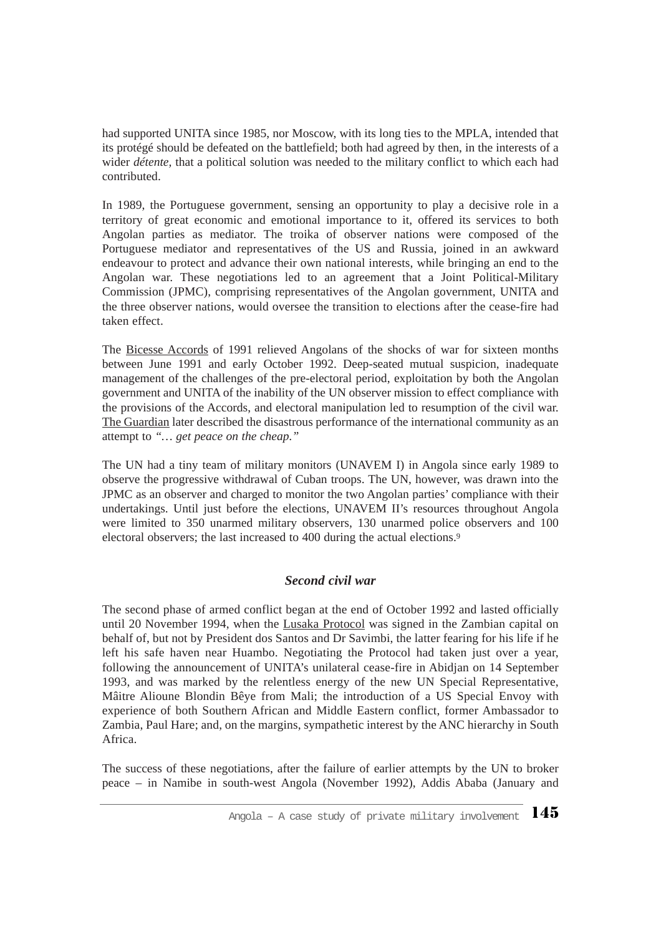had supported UNITA since 1985, nor Moscow, with its long ties to the MPLA, intended that its protégé should be defeated on the battlefield; both had agreed by then, in the interests of a wider *détente,* that a political solution was needed to the military conflict to which each had contributed.

In 1989, the Portuguese government, sensing an opportunity to play a decisive role in a territory of great economic and emotional importance to it, offered its services to both Angolan parties as mediator. The troika of observer nations were composed of the Portuguese mediator and representatives of the US and Russia, joined in an awkward endeavour to protect and advance their own national interests, while bringing an end to the Angolan war. These negotiations led to an agreement that a Joint Political-Military Commission (JPMC), comprising representatives of the Angolan government, UNITA and the three observer nations, would oversee the transition to elections after the cease-fire had taken effect.

The Bicesse Accords of 1991 relieved Angolans of the shocks of war for sixteen months between June 1991 and early October 1992. Deep-seated mutual suspicion, inadequate management of the challenges of the pre-electoral period, exploitation by both the Angolan government and UNITA of the inability of the UN observer mission to effect compliance with the provisions of the Accords, and electoral manipulation led to resumption of the civil war. The Guardian later described the disastrous performance of the international community as an attempt to *"… get peace on the cheap."*

The UN had a tiny team of military monitors (UNAVEM I) in Angola since early 1989 to observe the progressive withdrawal of Cuban troops. The UN, however, was drawn into the JPMC as an observer and charged to monitor the two Angolan parties' compliance with their undertakings. Until just before the elections, UNAVEM II's resources throughout Angola were limited to 350 unarmed military observers, 130 unarmed police observers and 100 electoral observers; the last increased to 400 during the actual elections.9

#### *Second civil war*

The second phase of armed conflict began at the end of October 1992 and lasted officially until 20 November 1994, when the Lusaka Protocol was signed in the Zambian capital on behalf of, but not by President dos Santos and Dr Savimbi, the latter fearing for his life if he left his safe haven near Huambo. Negotiating the Protocol had taken just over a year, following the announcement of UNITA's unilateral cease-fire in Abidjan on 14 September 1993, and was marked by the relentless energy of the new UN Special Representative, Mâitre Alioune Blondin Bêye from Mali; the introduction of a US Special Envoy with experience of both Southern African and Middle Eastern conflict, former Ambassador to Zambia, Paul Hare; and, on the margins, sympathetic interest by the ANC hierarchy in South Africa.

The success of these negotiations, after the failure of earlier attempts by the UN to broker peace – in Namibe in south-west Angola (November 1992), Addis Ababa (January and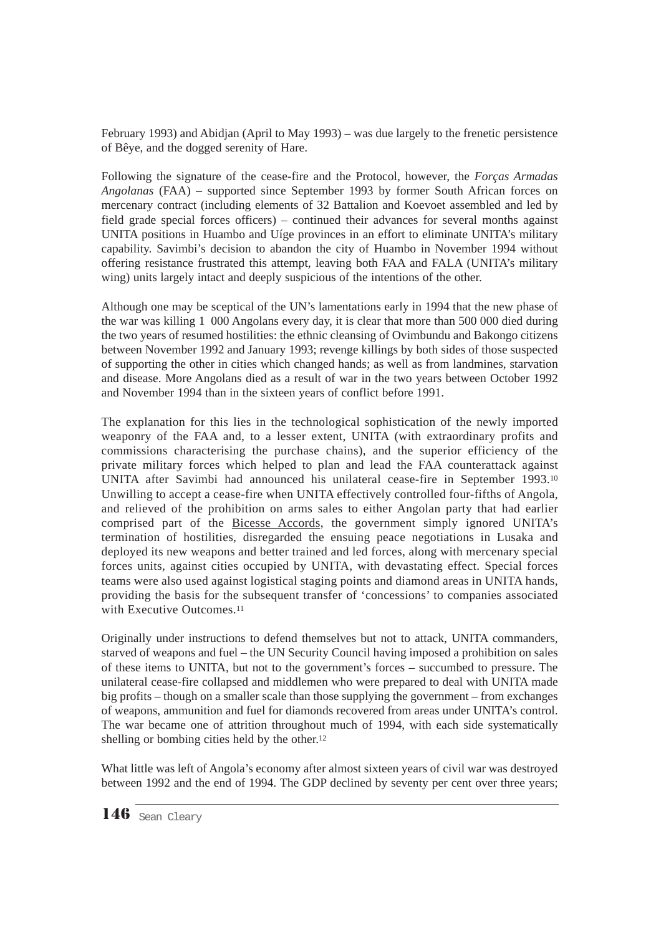February 1993) and Abidjan (April to May 1993) – was due largely to the frenetic persistence of Bêye, and the dogged serenity of Hare.

Following the signature of the cease-fire and the Protocol, however, the *Forças Armadas Angolanas* (FAA) – supported since September 1993 by former South African forces on mercenary contract (including elements of 32 Battalion and Koevoet assembled and led by field grade special forces officers) – continued their advances for several months against UNITA positions in Huambo and Uíge provinces in an effort to eliminate UNITA's military capability. Savimbi's decision to abandon the city of Huambo in November 1994 without offering resistance frustrated this attempt, leaving both FAA and FALA (UNITA's military wing) units largely intact and deeply suspicious of the intentions of the other.

Although one may be sceptical of the UN's lamentations early in 1994 that the new phase of the war was killing 1 000 Angolans every day, it is clear that more than 500 000 died during the two years of resumed hostilities: the ethnic cleansing of Ovimbundu and Bakongo citizens between November 1992 and January 1993; revenge killings by both sides of those suspected of supporting the other in cities which changed hands; as well as from landmines, starvation and disease. More Angolans died as a result of war in the two years between October 1992 and November 1994 than in the sixteen years of conflict before 1991.

The explanation for this lies in the technological sophistication of the newly imported weaponry of the FAA and, to a lesser extent, UNITA (with extraordinary profits and commissions characterising the purchase chains), and the superior efficiency of the private military forces which helped to plan and lead the FAA counterattack against UNITA after Savimbi had announced his unilateral cease-fire in September 1993.10 Unwilling to accept a cease-fire when UNITA effectively controlled four-fifths of Angola, and relieved of the prohibition on arms sales to either Angolan party that had earlier comprised part of the Bicesse Accords, the government simply ignored UNITA's termination of hostilities, disregarded the ensuing peace negotiations in Lusaka and deployed its new weapons and better trained and led forces, along with mercenary special forces units, against cities occupied by UNITA, with devastating effect. Special forces teams were also used against logistical staging points and diamond areas in UNITA hands, providing the basis for the subsequent transfer of 'concessions' to companies associated with Executive Outcomes.<sup>11</sup>

Originally under instructions to defend themselves but not to attack, UNITA commanders, starved of weapons and fuel – the UN Security Council having imposed a prohibition on sales of these items to UNITA, but not to the government's forces – succumbed to pressure. The unilateral cease-fire collapsed and middlemen who were prepared to deal with UNITA made big profits – though on a smaller scale than those supplying the government – from exchanges of weapons, ammunition and fuel for diamonds recovered from areas under UNITA's control. The war became one of attrition throughout much of 1994, with each side systematically shelling or bombing cities held by the other.12

What little was left of Angola's economy after almost sixteen years of civil war was destroyed between 1992 and the end of 1994. The GDP declined by seventy per cent over three years;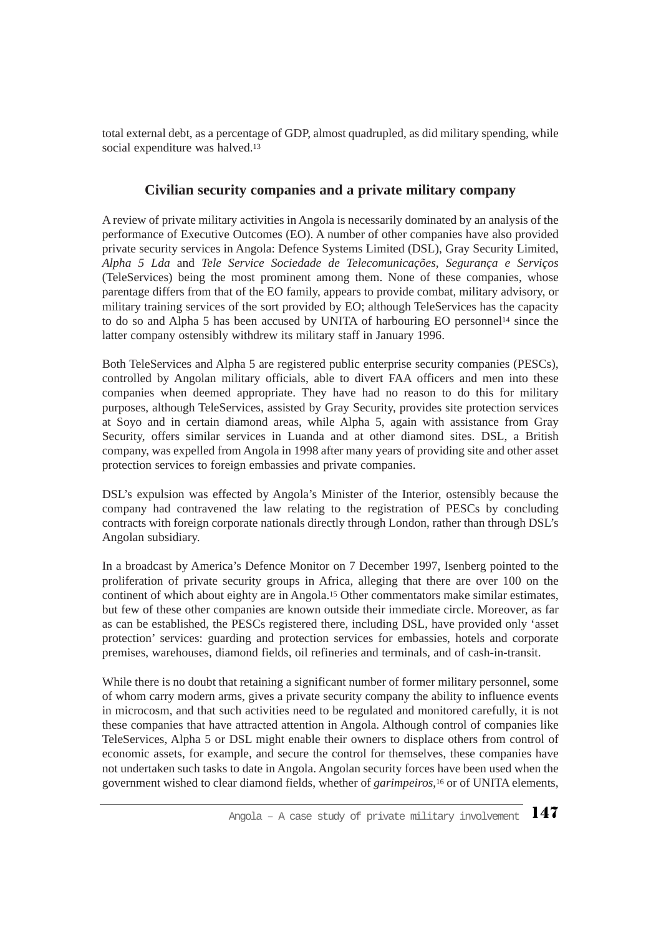total external debt, as a percentage of GDP, almost quadrupled, as did military spending, while social expenditure was halved.13

### **Civilian security companies and a private military company**

A review of private military activities in Angola is necessarily dominated by an analysis of the performance of Executive Outcomes (EO). A number of other companies have also provided private security services in Angola: Defence Systems Limited (DSL), Gray Security Limited, *Alpha 5 Lda* and *Tele Service Sociedade de Telecomunicações, Segurança e Serviços* (TeleServices) being the most prominent among them. None of these companies, whose parentage differs from that of the EO family, appears to provide combat, military advisory, or military training services of the sort provided by EO; although TeleServices has the capacity to do so and Alpha 5 has been accused by UNITA of harbouring EO personnel14 since the latter company ostensibly withdrew its military staff in January 1996.

Both TeleServices and Alpha 5 are registered public enterprise security companies (PESCs), controlled by Angolan military officials, able to divert FAA officers and men into these companies when deemed appropriate. They have had no reason to do this for military purposes, although TeleServices, assisted by Gray Security, provides site protection services at Soyo and in certain diamond areas, while Alpha 5, again with assistance from Gray Security, offers similar services in Luanda and at other diamond sites. DSL, a British company, was expelled from Angola in 1998 after many years of providing site and other asset protection services to foreign embassies and private companies.

DSL's expulsion was effected by Angola's Minister of the Interior, ostensibly because the company had contravened the law relating to the registration of PESCs by concluding contracts with foreign corporate nationals directly through London, rather than through DSL's Angolan subsidiary.

In a broadcast by America's Defence Monitor on 7 December 1997, Isenberg pointed to the proliferation of private security groups in Africa, alleging that there are over 100 on the continent of which about eighty are in Angola.15 Other commentators make similar estimates, but few of these other companies are known outside their immediate circle. Moreover, as far as can be established, the PESCs registered there, including DSL, have provided only 'asset protection' services: guarding and protection services for embassies, hotels and corporate premises, warehouses, diamond fields, oil refineries and terminals, and of cash-in-transit.

While there is no doubt that retaining a significant number of former military personnel, some of whom carry modern arms, gives a private security company the ability to influence events in microcosm, and that such activities need to be regulated and monitored carefully, it is not these companies that have attracted attention in Angola. Although control of companies like TeleServices, Alpha 5 or DSL might enable their owners to displace others from control of economic assets, for example, and secure the control for themselves, these companies have not undertaken such tasks to date in Angola. Angolan security forces have been used when the government wished to clear diamond fields, whether of *garimpeiros*,16 or of UNITA elements,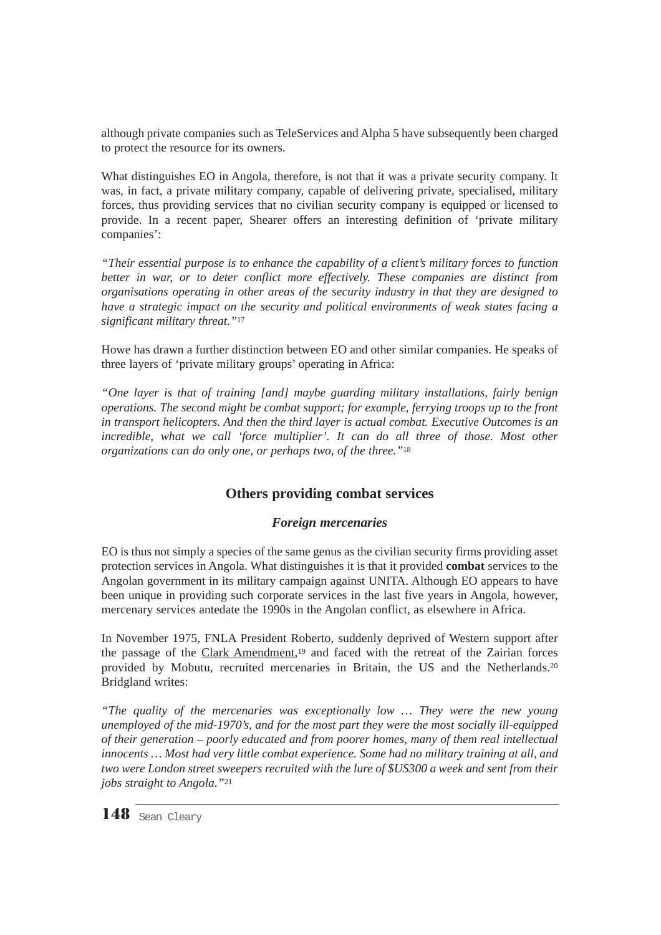although private companies such as TeleServices and Alpha 5 have subsequently been charged to protect the resource for its owners.

What distinguishes EO in Angola, therefore, is not that it was a private security company. It was, in fact, a private military company, capable of delivering private, specialised, military forces, thus providing services that no civilian security company is equipped or licensed to provide. In a recent paper, Shearer offers an interesting definition of 'private military companies':

*"Their essential purpose is to enhance the capability of a client's military forces to function better in war, or to deter conflict more effectively. These companies are distinct from organisations operating in other areas of the security industry in that they are designed to have a strategic impact on the security and political environments of weak states facing a significant military threat."*<sup>17</sup>

Howe has drawn a further distinction between EO and other similar companies. He speaks of three layers of 'private military groups' operating in Africa:

*"One layer is that of training [and] maybe guarding military installations, fairly benign operations. The second might be combat support; for example, ferrying troops up to the front in transport helicopters. And then the third layer is actual combat. Executive Outcomes is an incredible, what we call 'force multiplier'. It can do all three of those. Most other organizations can do only one, or perhaps two, of the three."*<sup>18</sup>

## **Others providing combat services**

#### *Foreign mercenaries*

EO is thus not simply a species of the same genus as the civilian security firms providing asset protection services in Angola. What distinguishes it is that it provided **combat** services to the Angolan government in its military campaign against UNITA. Although EO appears to have been unique in providing such corporate services in the last five years in Angola, however, mercenary services antedate the 1990s in the Angolan conflict, as elsewhere in Africa.

In November 1975, FNLA President Roberto, suddenly deprived of Western support after the passage of the Clark Amendment,<sup>19</sup> and faced with the retreat of the Zairian forces provided by Mobutu, recruited mercenaries in Britain, the US and the Netherlands.20 Bridgland writes:

*"The quality of the mercenaries was exceptionally low … They were the new young unemployed of the mid-1970's, and for the most part they were the most socially ill-equipped of their generation – poorly educated and from poorer homes, many of them real intellectual innocents … Most had very little combat experience. Some had no military training at all, and two were London street sweepers recruited with the lure of \$US300 a week and sent from their jobs straight to Angola."*<sup>21</sup>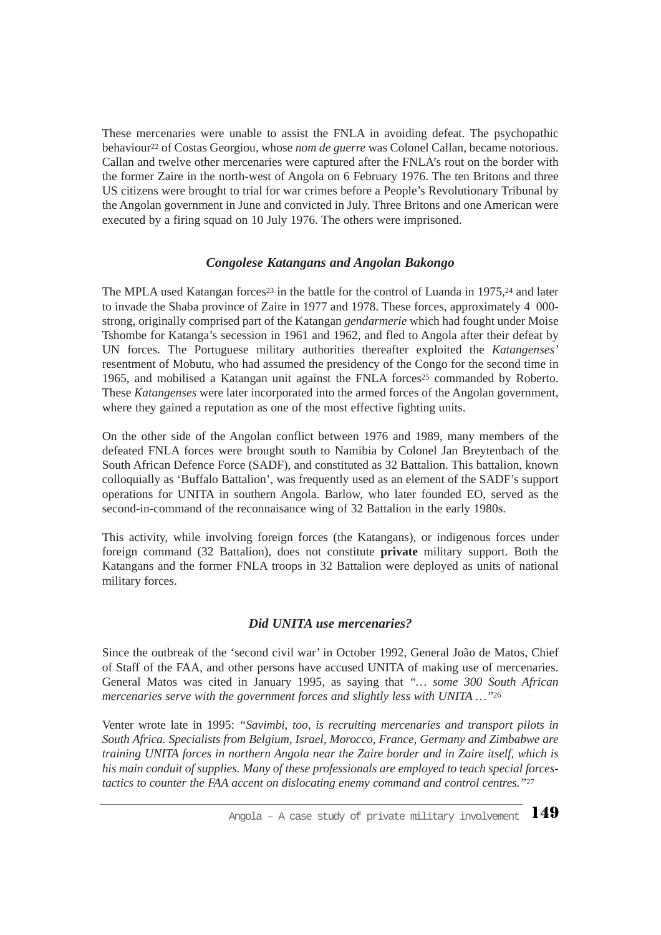These mercenaries were unable to assist the FNLA in avoiding defeat. The psychopathic behaviour<sup>22</sup> of Costas Georgiou, whose *nom de guerre* was Colonel Callan, became notorious. Callan and twelve other mercenaries were captured after the FNLA's rout on the border with the former Zaire in the north-west of Angola on 6 February 1976. The ten Britons and three US citizens were brought to trial for war crimes before a People's Revolutionary Tribunal by the Angolan government in June and convicted in July. Three Britons and one American were executed by a firing squad on 10 July 1976. The others were imprisoned.

#### *Congolese Katangans and Angolan Bakongo*

The MPLA used Katangan forces<sup>23</sup> in the battle for the control of Luanda in  $1975$ <sup>24</sup> and later to invade the Shaba province of Zaire in 1977 and 1978. These forces, approximately 4 000 strong, originally comprised part of the Katangan *gendarmerie* which had fought under Moise Tshombe for Katanga's secession in 1961 and 1962, and fled to Angola after their defeat by UN forces. The Portuguese military authorities thereafter exploited the *Katangenses'* resentment of Mobutu, who had assumed the presidency of the Congo for the second time in 1965, and mobilised a Katangan unit against the FNLA forces<sup>25</sup> commanded by Roberto. These *Katangenses* were later incorporated into the armed forces of the Angolan government, where they gained a reputation as one of the most effective fighting units.

On the other side of the Angolan conflict between 1976 and 1989, many members of the defeated FNLA forces were brought south to Namibia by Colonel Jan Breytenbach of the South African Defence Force (SADF), and constituted as 32 Battalion. This battalion, known colloquially as 'Buffalo Battalion', was frequently used as an element of the SADF's support operations for UNITA in southern Angola. Barlow, who later founded EO, served as the second-in-command of the reconnaisance wing of 32 Battalion in the early 1980s.

This activity, while involving foreign forces (the Katangans), or indigenous forces under foreign command (32 Battalion), does not constitute **private** military support. Both the Katangans and the former FNLA troops in 32 Battalion were deployed as units of national military forces.

#### *Did UNITA use mercenaries?*

Since the outbreak of the 'second civil war' in October 1992, General João de Matos, Chief of Staff of the FAA, and other persons have accused UNITA of making use of mercenaries. General Matos was cited in January 1995, as saying that *"… some 300 South African mercenaries serve with the government forces and slightly less with UNITA …"*<sup>26</sup>

Venter wrote late in 1995: *"Savimbi, too, is recruiting mercenaries and transport pilots in South Africa. Specialists from Belgium, Israel, Morocco, France, Germany and Zimbabwe are training UNITA forces in northern Angola near the Zaire border and in Zaire itself, which is his main conduit of supplies. Many of these professionals are employed to teach special forcestactics to counter the FAA accent on dislocating enemy command and control centres."*<sup>27</sup>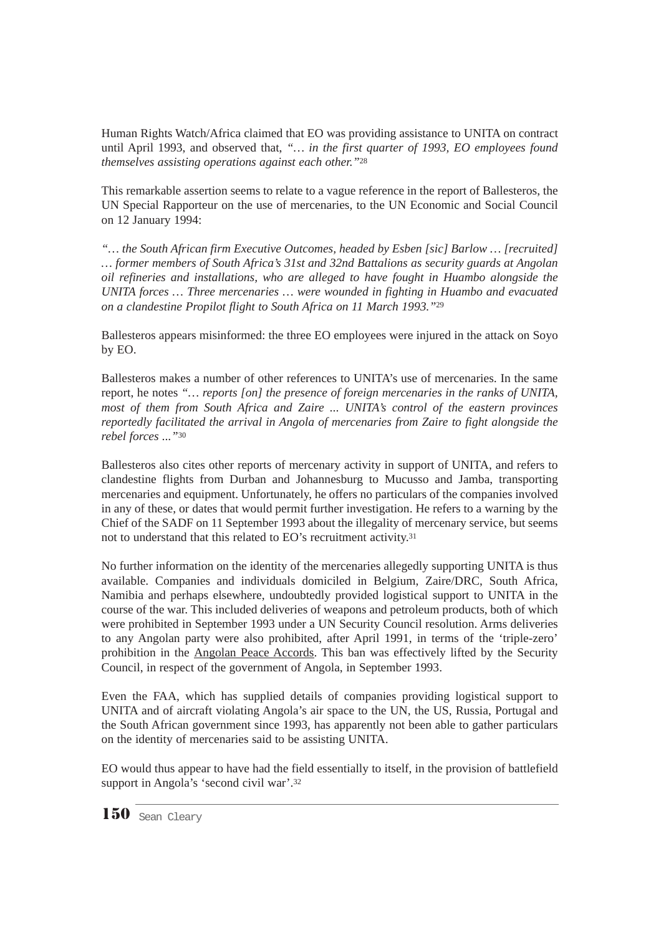Human Rights Watch/Africa claimed that EO was providing assistance to UNITA on contract until April 1993, and observed that, *"… in the first quarter of 1993, EO employees found themselves assisting operations against each other."*<sup>28</sup>

This remarkable assertion seems to relate to a vague reference in the report of Ballesteros, the UN Special Rapporteur on the use of mercenaries, to the UN Economic and Social Council on 12 January 1994:

*"… the South African firm Executive Outcomes, headed by Esben [sic] Barlow … [recruited] … former members of South Africa's 31st and 32nd Battalions as security guards at Angolan oil refineries and installations, who are alleged to have fought in Huambo alongside the UNITA forces … Three mercenaries … were wounded in fighting in Huambo and evacuated on a clandestine Propilot flight to South Africa on 11 March 1993."*<sup>29</sup>

Ballesteros appears misinformed: the three EO employees were injured in the attack on Soyo by EO.

Ballesteros makes a number of other references to UNITA's use of mercenaries. In the same report, he notes *"… reports [on] the presence of foreign mercenaries in the ranks of UNITA, most of them from South Africa and Zaire ... UNITA's control of the eastern provinces reportedly facilitated the arrival in Angola of mercenaries from Zaire to fight alongside the rebel forces ..."*<sup>30</sup>

Ballesteros also cites other reports of mercenary activity in support of UNITA, and refers to clandestine flights from Durban and Johannesburg to Mucusso and Jamba, transporting mercenaries and equipment. Unfortunately, he offers no particulars of the companies involved in any of these, or dates that would permit further investigation. He refers to a warning by the Chief of the SADF on 11 September 1993 about the illegality of mercenary service, but seems not to understand that this related to EO's recruitment activity.31

No further information on the identity of the mercenaries allegedly supporting UNITA is thus available. Companies and individuals domiciled in Belgium, Zaire/DRC, South Africa, Namibia and perhaps elsewhere, undoubtedly provided logistical support to UNITA in the course of the war. This included deliveries of weapons and petroleum products, both of which were prohibited in September 1993 under a UN Security Council resolution. Arms deliveries to any Angolan party were also prohibited, after April 1991, in terms of the 'triple-zero' prohibition in the Angolan Peace Accords. This ban was effectively lifted by the Security Council, in respect of the government of Angola, in September 1993.

Even the FAA, which has supplied details of companies providing logistical support to UNITA and of aircraft violating Angola's air space to the UN, the US, Russia, Portugal and the South African government since 1993, has apparently not been able to gather particulars on the identity of mercenaries said to be assisting UNITA.

EO would thus appear to have had the field essentially to itself, in the provision of battlefield support in Angola's 'second civil war'.32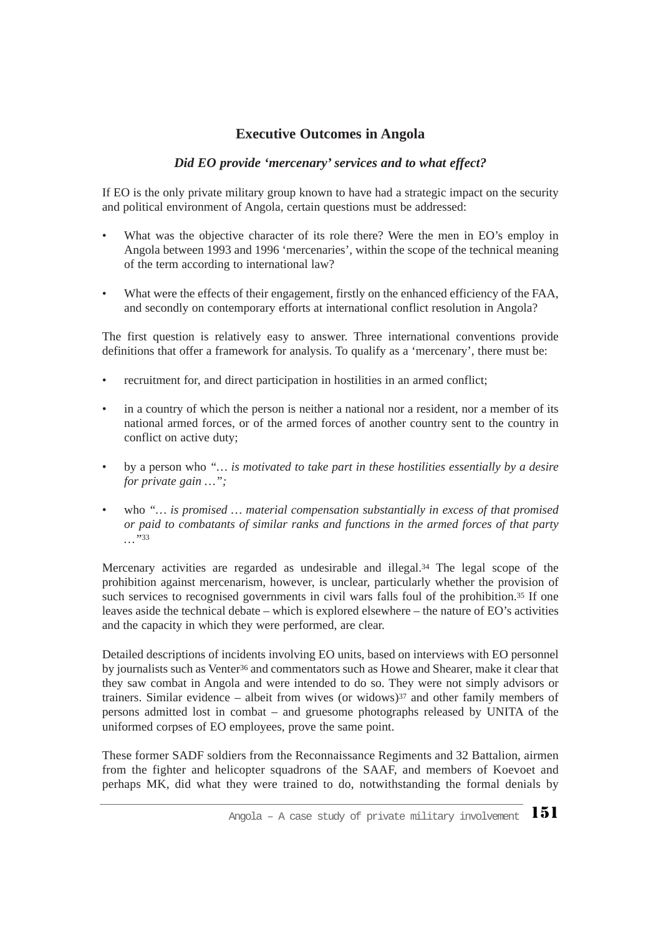## **Executive Outcomes in Angola**

## *Did EO provide 'mercenary' services and to what effect?*

If EO is the only private military group known to have had a strategic impact on the security and political environment of Angola, certain questions must be addressed:

- What was the objective character of its role there? Were the men in EO's employ in Angola between 1993 and 1996 'mercenaries', within the scope of the technical meaning of the term according to international law?
- What were the effects of their engagement, firstly on the enhanced efficiency of the FAA, and secondly on contemporary efforts at international conflict resolution in Angola?

The first question is relatively easy to answer. Three international conventions provide definitions that offer a framework for analysis. To qualify as a 'mercenary', there must be:

- recruitment for, and direct participation in hostilities in an armed conflict;
- in a country of which the person is neither a national nor a resident, nor a member of its national armed forces, or of the armed forces of another country sent to the country in conflict on active duty;
- by a person who *"… is motivated to take part in these hostilities essentially by a desire for private gain …";*
- who *"… is promised … material compensation substantially in excess of that promised or paid to combatants of similar ranks and functions in the armed forces of that party …"*<sup>33</sup>

Mercenary activities are regarded as undesirable and illegal.34 The legal scope of the prohibition against mercenarism, however, is unclear, particularly whether the provision of such services to recognised governments in civil wars falls foul of the prohibition.<sup>35</sup> If one leaves aside the technical debate – which is explored elsewhere – the nature of EO's activities and the capacity in which they were performed, are clear.

Detailed descriptions of incidents involving EO units, based on interviews with EO personnel by journalists such as Venter<sup>36</sup> and commentators such as Howe and Shearer, make it clear that they saw combat in Angola and were intended to do so. They were not simply advisors or trainers. Similar evidence – albeit from wives (or widows) $37$  and other family members of persons admitted lost in combat – and gruesome photographs released by UNITA of the uniformed corpses of EO employees, prove the same point.

These former SADF soldiers from the Reconnaissance Regiments and 32 Battalion, airmen from the fighter and helicopter squadrons of the SAAF, and members of Koevoet and perhaps MK, did what they were trained to do, notwithstanding the formal denials by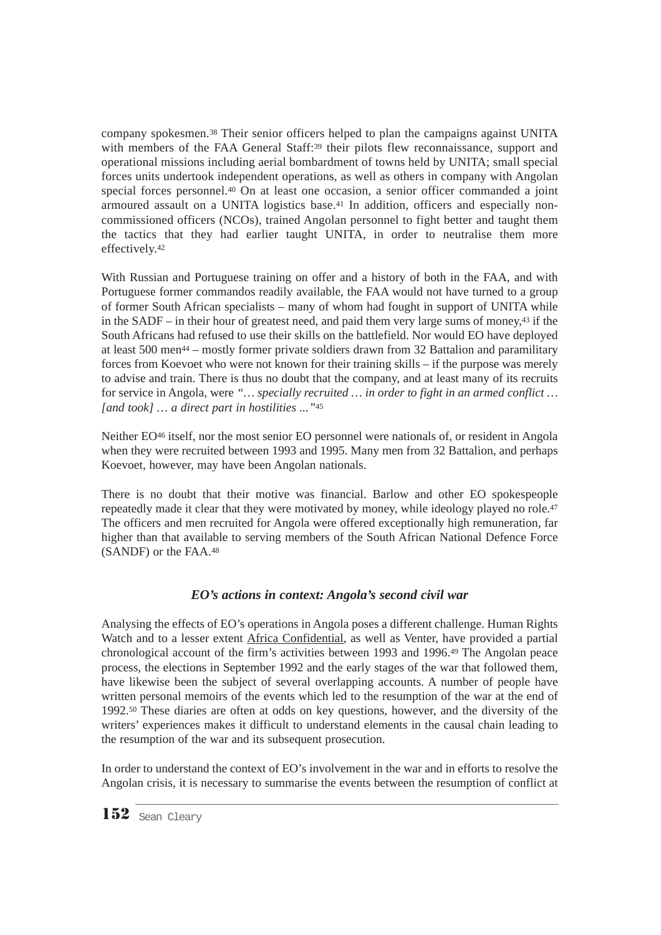company spokesmen.38 Their senior officers helped to plan the campaigns against UNITA with members of the FAA General Staff:<sup>39</sup> their pilots flew reconnaissance, support and operational missions including aerial bombardment of towns held by UNITA; small special forces units undertook independent operations, as well as others in company with Angolan special forces personnel.40 On at least one occasion, a senior officer commanded a joint armoured assault on a UNITA logistics base.41 In addition, officers and especially noncommissioned officers (NCOs), trained Angolan personnel to fight better and taught them the tactics that they had earlier taught UNITA, in order to neutralise them more effectively.42

With Russian and Portuguese training on offer and a history of both in the FAA, and with Portuguese former commandos readily available, the FAA would not have turned to a group of former South African specialists – many of whom had fought in support of UNITA while in the SADF – in their hour of greatest need, and paid them very large sums of money,43 if the South Africans had refused to use their skills on the battlefield. Nor would EO have deployed at least 500 men44 – mostly former private soldiers drawn from 32 Battalion and paramilitary forces from Koevoet who were not known for their training skills – if the purpose was merely to advise and train. There is thus no doubt that the company, and at least many of its recruits for service in Angola, were *"… specially recruited … in order to fight in an armed conflict … [and took] … a direct part in hostilities ..."*<sup>45</sup>

Neither EO46 itself, nor the most senior EO personnel were nationals of, or resident in Angola when they were recruited between 1993 and 1995. Many men from 32 Battalion, and perhaps Koevoet, however, may have been Angolan nationals.

There is no doubt that their motive was financial. Barlow and other EO spokespeople repeatedly made it clear that they were motivated by money, while ideology played no role.47 The officers and men recruited for Angola were offered exceptionally high remuneration, far higher than that available to serving members of the South African National Defence Force (SANDF) or the FAA.48

## *EO's actions in context: Angola's second civil war*

Analysing the effects of EO's operations in Angola poses a different challenge. Human Rights Watch and to a lesser extent Africa Confidential, as well as Venter, have provided a partial chronological account of the firm's activities between 1993 and 1996.49 The Angolan peace process, the elections in September 1992 and the early stages of the war that followed them, have likewise been the subject of several overlapping accounts. A number of people have written personal memoirs of the events which led to the resumption of the war at the end of 1992.50 These diaries are often at odds on key questions, however, and the diversity of the writers' experiences makes it difficult to understand elements in the causal chain leading to the resumption of the war and its subsequent prosecution.

In order to understand the context of EO's involvement in the war and in efforts to resolve the Angolan crisis, it is necessary to summarise the events between the resumption of conflict at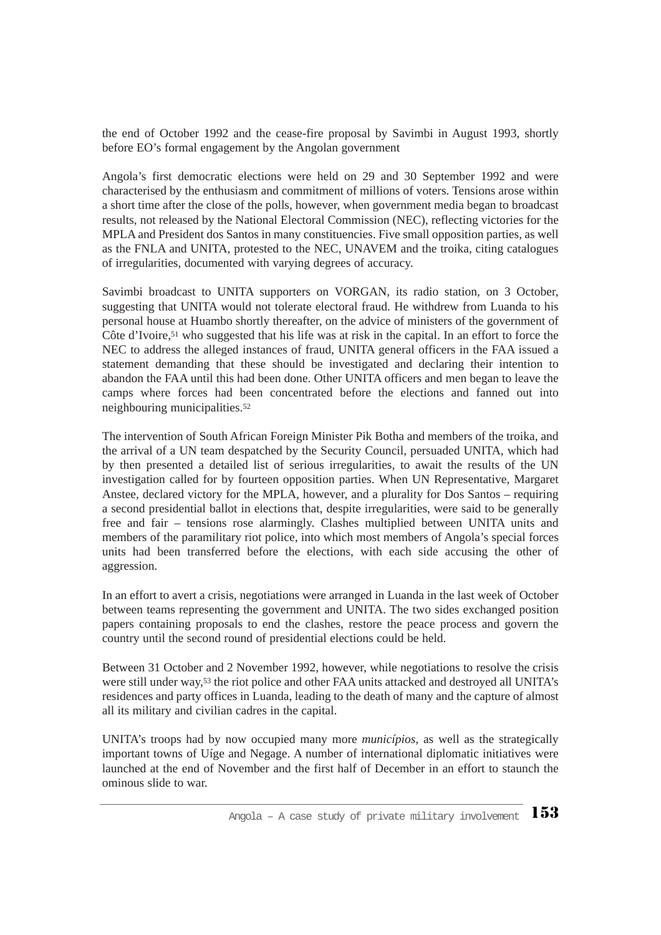the end of October 1992 and the cease-fire proposal by Savimbi in August 1993, shortly before EO's formal engagement by the Angolan government

Angola's first democratic elections were held on 29 and 30 September 1992 and were characterised by the enthusiasm and commitment of millions of voters. Tensions arose within a short time after the close of the polls, however, when government media began to broadcast results, not released by the National Electoral Commission (NEC), reflecting victories for the MPLA and President dos Santos in many constituencies. Five small opposition parties, as well as the FNLA and UNITA, protested to the NEC, UNAVEM and the troika*,* citing catalogues of irregularities, documented with varying degrees of accuracy.

Savimbi broadcast to UNITA supporters on VORGAN, its radio station, on 3 October, suggesting that UNITA would not tolerate electoral fraud. He withdrew from Luanda to his personal house at Huambo shortly thereafter, on the advice of ministers of the government of Côte d'Ivoire,<sup>51</sup> who suggested that his life was at risk in the capital. In an effort to force the NEC to address the alleged instances of fraud, UNITA general officers in the FAA issued a statement demanding that these should be investigated and declaring their intention to abandon the FAA until this had been done. Other UNITA officers and men began to leave the camps where forces had been concentrated before the elections and fanned out into neighbouring municipalities.52

The intervention of South African Foreign Minister Pik Botha and members of the troika*,* and the arrival of a UN team despatched by the Security Council, persuaded UNITA, which had by then presented a detailed list of serious irregularities, to await the results of the UN investigation called for by fourteen opposition parties. When UN Representative, Margaret Anstee, declared victory for the MPLA, however, and a plurality for Dos Santos – requiring a second presidential ballot in elections that, despite irregularities, were said to be generally free and fair – tensions rose alarmingly. Clashes multiplied between UNITA units and members of the paramilitary riot police, into which most members of Angola's special forces units had been transferred before the elections, with each side accusing the other of aggression.

In an effort to avert a crisis, negotiations were arranged in Luanda in the last week of October between teams representing the government and UNITA. The two sides exchanged position papers containing proposals to end the clashes, restore the peace process and govern the country until the second round of presidential elections could be held.

Between 31 October and 2 November 1992, however, while negotiations to resolve the crisis were still under way,53 the riot police and other FAA units attacked and destroyed all UNITA's residences and party offices in Luanda, leading to the death of many and the capture of almost all its military and civilian cadres in the capital.

UNITA's troops had by now occupied many more *municípios*, as well as the strategically important towns of Uíge and Negage. A number of international diplomatic initiatives were launched at the end of November and the first half of December in an effort to staunch the ominous slide to war.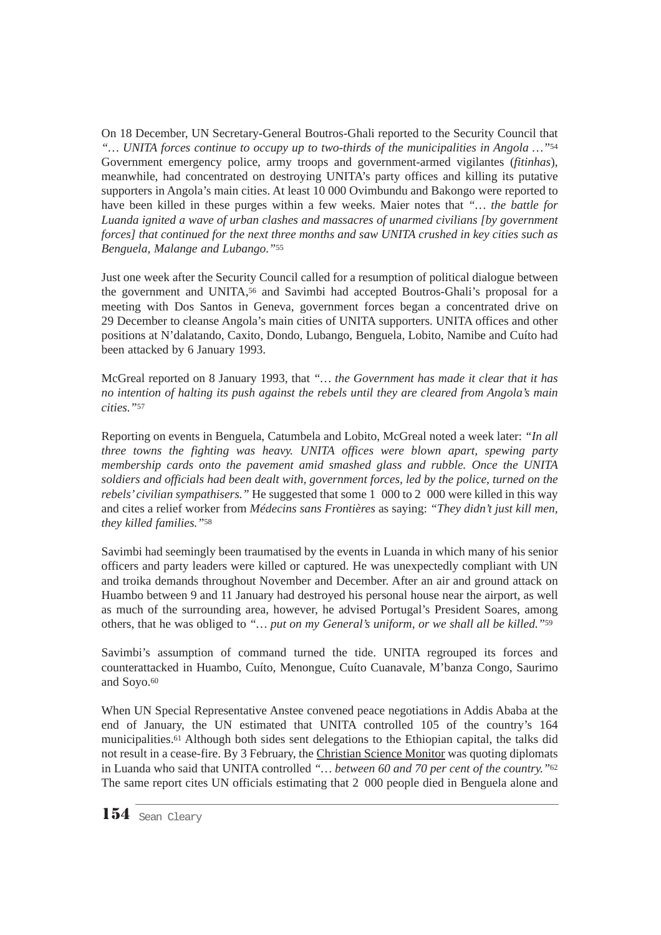On 18 December, UN Secretary-General Boutros-Ghali reported to the Security Council that *"… UNITA forces continue to occupy up to two-thirds of the municipalities in Angola …"*<sup>54</sup> Government emergency police, army troops and government-armed vigilantes (*fitinhas*), meanwhile, had concentrated on destroying UNITA's party offices and killing its putative supporters in Angola's main cities. At least 10 000 Ovimbundu and Bakongo were reported to have been killed in these purges within a few weeks. Maier notes that *"… the battle for Luanda ignited a wave of urban clashes and massacres of unarmed civilians [by government forces] that continued for the next three months and saw UNITA crushed in key cities such as Benguela, Malange and Lubango."*<sup>55</sup>

Just one week after the Security Council called for a resumption of political dialogue between the government and UNITA,56 and Savimbi had accepted Boutros-Ghali's proposal for a meeting with Dos Santos in Geneva, government forces began a concentrated drive on 29 December to cleanse Angola's main cities of UNITA supporters. UNITA offices and other positions at N'dalatando, Caxito, Dondo, Lubango, Benguela, Lobito, Namibe and Cuíto had been attacked by 6 January 1993.

McGreal reported on 8 January 1993, that *"… the Government has made it clear that it has no intention of halting its push against the rebels until they are cleared from Angola's main cities."*<sup>57</sup>

Reporting on events in Benguela, Catumbela and Lobito, McGreal noted a week later: *"In all three towns the fighting was heavy. UNITA offices were blown apart, spewing party membership cards onto the pavement amid smashed glass and rubble. Once the UNITA soldiers and officials had been dealt with, government forces, led by the police, turned on the rebels'civilian sympathisers."* He suggested that some 1 000 to 2 000 were killed in this way and cites a relief worker from *Médecins sans Frontières* as saying: *"They didn't just kill men, they killed families."*<sup>58</sup>

Savimbi had seemingly been traumatised by the events in Luanda in which many of his senior officers and party leaders were killed or captured. He was unexpectedly compliant with UN and troika demands throughout November and December. After an air and ground attack on Huambo between 9 and 11 January had destroyed his personal house near the airport, as well as much of the surrounding area, however, he advised Portugal's President Soares, among others, that he was obliged to *"… put on my General's uniform, or we shall all be killed."*<sup>59</sup>

Savimbi's assumption of command turned the tide. UNITA regrouped its forces and counterattacked in Huambo, Cuíto, Menongue, Cuíto Cuanavale, M'banza Congo, Saurimo and Soyo.60

When UN Special Representative Anstee convened peace negotiations in Addis Ababa at the end of January, the UN estimated that UNITA controlled 105 of the country's 164 municipalities.61 Although both sides sent delegations to the Ethiopian capital, the talks did not result in a cease-fire. By 3 February, the Christian Science Monitor was quoting diplomats in Luanda who said that UNITA controlled *"… between 60 and 70 per cent of the country."*<sup>62</sup> The same report cites UN officials estimating that 2 000 people died in Benguela alone and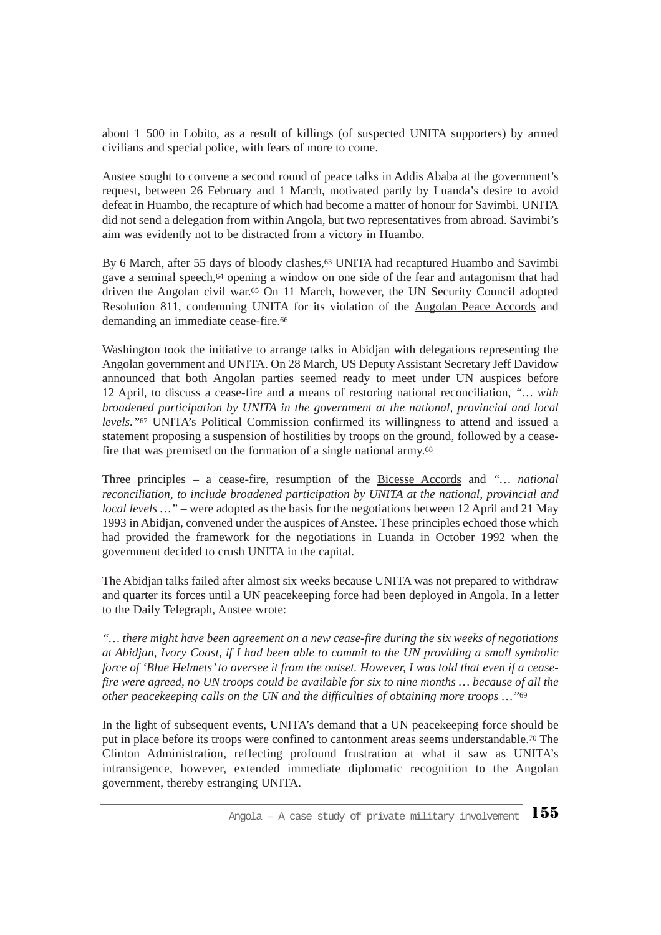about 1 500 in Lobito, as a result of killings (of suspected UNITA supporters) by armed civilians and special police, with fears of more to come.

Anstee sought to convene a second round of peace talks in Addis Ababa at the government's request, between 26 February and 1 March, motivated partly by Luanda's desire to avoid defeat in Huambo, the recapture of which had become a matter of honour for Savimbi. UNITA did not send a delegation from within Angola, but two representatives from abroad. Savimbi's aim was evidently not to be distracted from a victory in Huambo.

By 6 March, after 55 days of bloody clashes,<sup>63</sup> UNITA had recaptured Huambo and Savimbi gave a seminal speech,64 opening a window on one side of the fear and antagonism that had driven the Angolan civil war.65 On 11 March, however, the UN Security Council adopted Resolution 811, condemning UNITA for its violation of the Angolan Peace Accords and demanding an immediate cease-fire.<sup>66</sup>

Washington took the initiative to arrange talks in Abidjan with delegations representing the Angolan government and UNITA. On 28 March, US Deputy Assistant Secretary Jeff Davidow announced that both Angolan parties seemed ready to meet under UN auspices before 12 April, to discuss a cease-fire and a means of restoring national reconciliation, *"… with broadened participation by UNITA in the government at the national, provincial and local levels."*<sup>67</sup> UNITA's Political Commission confirmed its willingness to attend and issued a statement proposing a suspension of hostilities by troops on the ground, followed by a ceasefire that was premised on the formation of a single national army.68

Three principles – a cease-fire, resumption of the Bicesse Accords and *"… national reconciliation, to include broadened participation by UNITA at the national, provincial and local levels* ... " – were adopted as the basis for the negotiations between 12 April and 21 May 1993 in Abidjan, convened under the auspices of Anstee. These principles echoed those which had provided the framework for the negotiations in Luanda in October 1992 when the government decided to crush UNITA in the capital.

The Abidjan talks failed after almost six weeks because UNITA was not prepared to withdraw and quarter its forces until a UN peacekeeping force had been deployed in Angola. In a letter to the Daily Telegraph, Anstee wrote:

*"… there might have been agreement on a new cease-fire during the six weeks of negotiations at Abidjan, Ivory Coast, if I had been able to commit to the UN providing a small symbolic force of 'Blue Helmets' to oversee it from the outset. However, I was told that even if a ceasefire were agreed, no UN troops could be available for six to nine months … because of all the other peacekeeping calls on the UN and the difficulties of obtaining more troops …"*<sup>69</sup>

In the light of subsequent events, UNITA's demand that a UN peacekeeping force should be put in place before its troops were confined to cantonment areas seems understandable.70 The Clinton Administration, reflecting profound frustration at what it saw as UNITA's intransigence, however, extended immediate diplomatic recognition to the Angolan government, thereby estranging UNITA.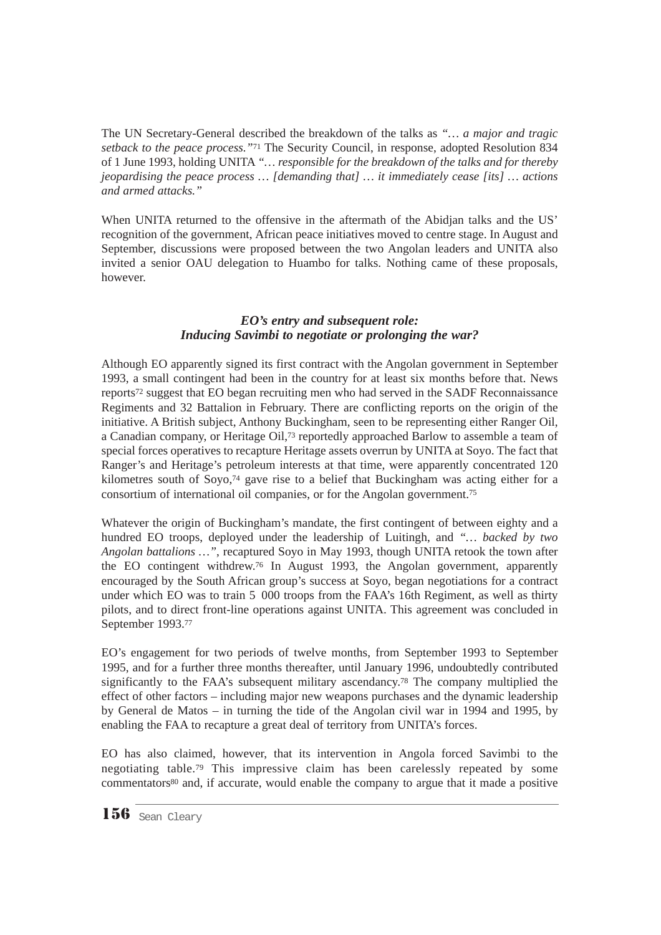The UN Secretary-General described the breakdown of the talks as *"… a major and tragic setback to the peace process."*<sup>71</sup> The Security Council, in response, adopted Resolution 834 of 1 June 1993, holding UNITA *"… responsible for the breakdown of the talks and for thereby jeopardising the peace process … [demanding that] … it immediately cease [its] … actions and armed attacks."*

When UNITA returned to the offensive in the aftermath of the Abidjan talks and the US' recognition of the government, African peace initiatives moved to centre stage. In August and September, discussions were proposed between the two Angolan leaders and UNITA also invited a senior OAU delegation to Huambo for talks. Nothing came of these proposals, however.

#### *EO's entry and subsequent role: Inducing Savimbi to negotiate or prolonging the war?*

Although EO apparently signed its first contract with the Angolan government in September 1993, a small contingent had been in the country for at least six months before that. News reports72 suggest that EO began recruiting men who had served in the SADF Reconnaissance Regiments and 32 Battalion in February. There are conflicting reports on the origin of the initiative. A British subject, Anthony Buckingham, seen to be representing either Ranger Oil, a Canadian company, or Heritage Oil,73 reportedly approached Barlow to assemble a team of special forces operatives to recapture Heritage assets overrun by UNITA at Soyo. The fact that Ranger's and Heritage's petroleum interests at that time, were apparently concentrated 120 kilometres south of Soyo,74 gave rise to a belief that Buckingham was acting either for a consortium of international oil companies, or for the Angolan government.75

Whatever the origin of Buckingham's mandate, the first contingent of between eighty and a hundred EO troops, deployed under the leadership of Luitingh, and *"… backed by two Angolan battalions …"*, recaptured Soyo in May 1993, though UNITA retook the town after the EO contingent withdrew.76 In August 1993, the Angolan government, apparently encouraged by the South African group's success at Soyo, began negotiations for a contract under which EO was to train 5 000 troops from the FAA's 16th Regiment, as well as thirty pilots, and to direct front-line operations against UNITA. This agreement was concluded in September 1993.77

EO's engagement for two periods of twelve months, from September 1993 to September 1995, and for a further three months thereafter, until January 1996, undoubtedly contributed significantly to the FAA's subsequent military ascendancy.<sup>78</sup> The company multiplied the effect of other factors – including major new weapons purchases and the dynamic leadership by General de Matos – in turning the tide of the Angolan civil war in 1994 and 1995, by enabling the FAA to recapture a great deal of territory from UNITA's forces.

EO has also claimed, however, that its intervention in Angola forced Savimbi to the negotiating table.79 This impressive claim has been carelessly repeated by some commentators<sup>80</sup> and, if accurate, would enable the company to argue that it made a positive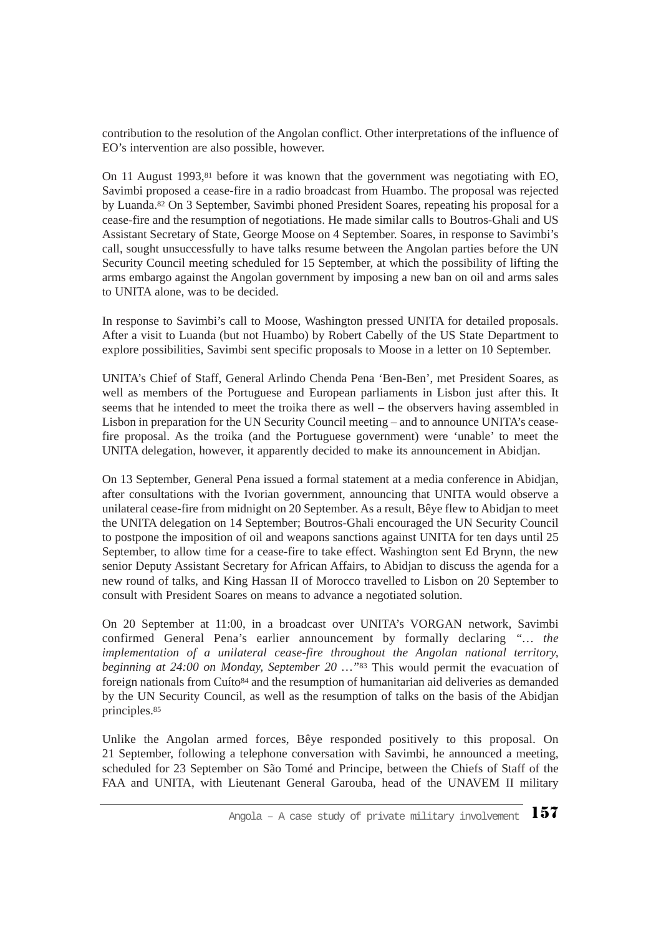contribution to the resolution of the Angolan conflict. Other interpretations of the influence of EO's intervention are also possible, however.

On 11 August 1993,<sup>81</sup> before it was known that the government was negotiating with EO, Savimbi proposed a cease-fire in a radio broadcast from Huambo. The proposal was rejected by Luanda.82 On 3 September, Savimbi phoned President Soares, repeating his proposal for a cease-fire and the resumption of negotiations. He made similar calls to Boutros-Ghali and US Assistant Secretary of State, George Moose on 4 September. Soares, in response to Savimbi's call, sought unsuccessfully to have talks resume between the Angolan parties before the UN Security Council meeting scheduled for 15 September, at which the possibility of lifting the arms embargo against the Angolan government by imposing a new ban on oil and arms sales to UNITA alone, was to be decided.

In response to Savimbi's call to Moose, Washington pressed UNITA for detailed proposals. After a visit to Luanda (but not Huambo) by Robert Cabelly of the US State Department to explore possibilities, Savimbi sent specific proposals to Moose in a letter on 10 September.

UNITA's Chief of Staff, General Arlindo Chenda Pena 'Ben-Ben', met President Soares, as well as members of the Portuguese and European parliaments in Lisbon just after this. It seems that he intended to meet the troika there as well – the observers having assembled in Lisbon in preparation for the UN Security Council meeting – and to announce UNITA's ceasefire proposal. As the troika (and the Portuguese government) were 'unable' to meet the UNITA delegation, however, it apparently decided to make its announcement in Abidjan.

On 13 September, General Pena issued a formal statement at a media conference in Abidjan, after consultations with the Ivorian government, announcing that UNITA would observe a unilateral cease-fire from midnight on 20 September. As a result, Bêye flew to Abidjan to meet the UNITA delegation on 14 September; Boutros-Ghali encouraged the UN Security Council to postpone the imposition of oil and weapons sanctions against UNITA for ten days until 25 September, to allow time for a cease-fire to take effect. Washington sent Ed Brynn, the new senior Deputy Assistant Secretary for African Affairs, to Abidjan to discuss the agenda for a new round of talks, and King Hassan II of Morocco travelled to Lisbon on 20 September to consult with President Soares on means to advance a negotiated solution.

On 20 September at 11:00, in a broadcast over UNITA's VORGAN network, Savimbi confirmed General Pena's earlier announcement by formally declaring *"… the implementation of a unilateral cease-fire throughout the Angolan national territory, beginning at 24:00 on Monday, September 20 …"*<sup>83</sup> This would permit the evacuation of foreign nationals from Cuíto<sup>84</sup> and the resumption of humanitarian aid deliveries as demanded by the UN Security Council, as well as the resumption of talks on the basis of the Abidjan principles.85

Unlike the Angolan armed forces, Bêye responded positively to this proposal. On 21 September, following a telephone conversation with Savimbi, he announced a meeting, scheduled for 23 September on São Tomé and Principe, between the Chiefs of Staff of the FAA and UNITA, with Lieutenant General Garouba, head of the UNAVEM II military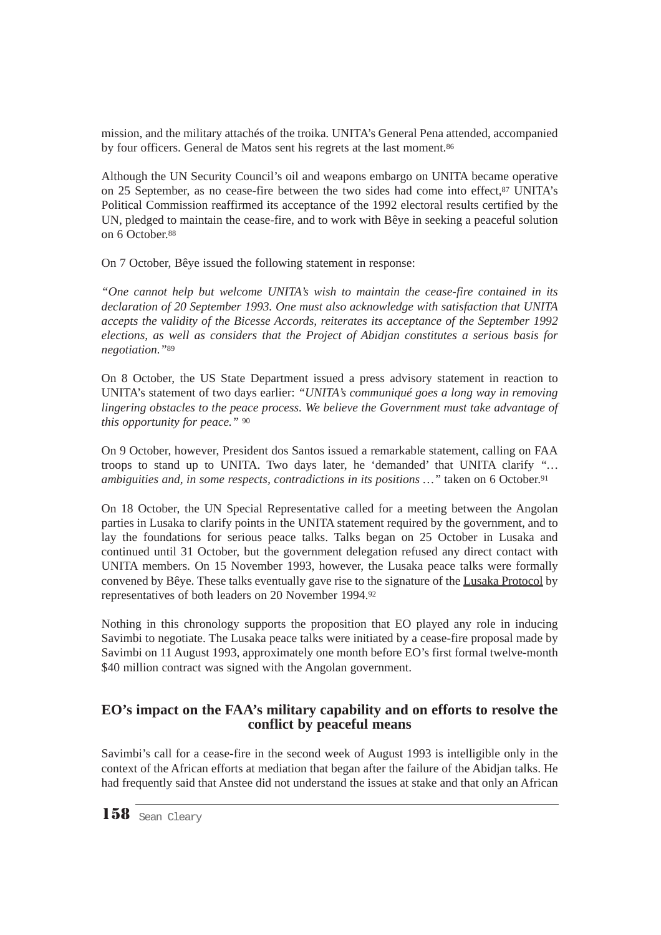mission, and the military attachés of the troika*.* UNITA's General Pena attended, accompanied by four officers. General de Matos sent his regrets at the last moment.<sup>86</sup>

Although the UN Security Council's oil and weapons embargo on UNITA became operative on 25 September, as no cease-fire between the two sides had come into effect,87 UNITA's Political Commission reaffirmed its acceptance of the 1992 electoral results certified by the UN, pledged to maintain the cease-fire, and to work with Bêye in seeking a peaceful solution on 6 October.88

On 7 October, Bêye issued the following statement in response:

*"One cannot help but welcome UNITA's wish to maintain the cease-fire contained in its declaration of 20 September 1993. One must also acknowledge with satisfaction that UNITA accepts the validity of the Bicesse Accords, reiterates its acceptance of the September 1992 elections, as well as considers that the Project of Abidjan constitutes a serious basis for negotiation."*<sup>89</sup>

On 8 October, the US State Department issued a press advisory statement in reaction to UNITA's statement of two days earlier: *"UNITA's communiqué goes a long way in removing lingering obstacles to the peace process. We believe the Government must take advantage of this opportunity for peace."* <sup>90</sup>

On 9 October, however, President dos Santos issued a remarkable statement, calling on FAA troops to stand up to UNITA. Two days later, he 'demanded' that UNITA clarify *"… ambiguities and, in some respects, contradictions in its positions ...*" taken on 6 October.<sup>91</sup>

On 18 October, the UN Special Representative called for a meeting between the Angolan parties in Lusaka to clarify points in the UNITA statement required by the government, and to lay the foundations for serious peace talks. Talks began on 25 October in Lusaka and continued until 31 October, but the government delegation refused any direct contact with UNITA members. On 15 November 1993, however, the Lusaka peace talks were formally convened by Bêye. These talks eventually gave rise to the signature of the Lusaka Protocol by representatives of both leaders on 20 November 1994.92

Nothing in this chronology supports the proposition that EO played any role in inducing Savimbi to negotiate. The Lusaka peace talks were initiated by a cease-fire proposal made by Savimbi on 11 August 1993, approximately one month before EO's first formal twelve-month \$40 million contract was signed with the Angolan government.

## **EO's impact on the FAA's military capability and on efforts to resolve the conflict by peaceful means**

Savimbi's call for a cease-fire in the second week of August 1993 is intelligible only in the context of the African efforts at mediation that began after the failure of the Abidjan talks. He had frequently said that Anstee did not understand the issues at stake and that only an African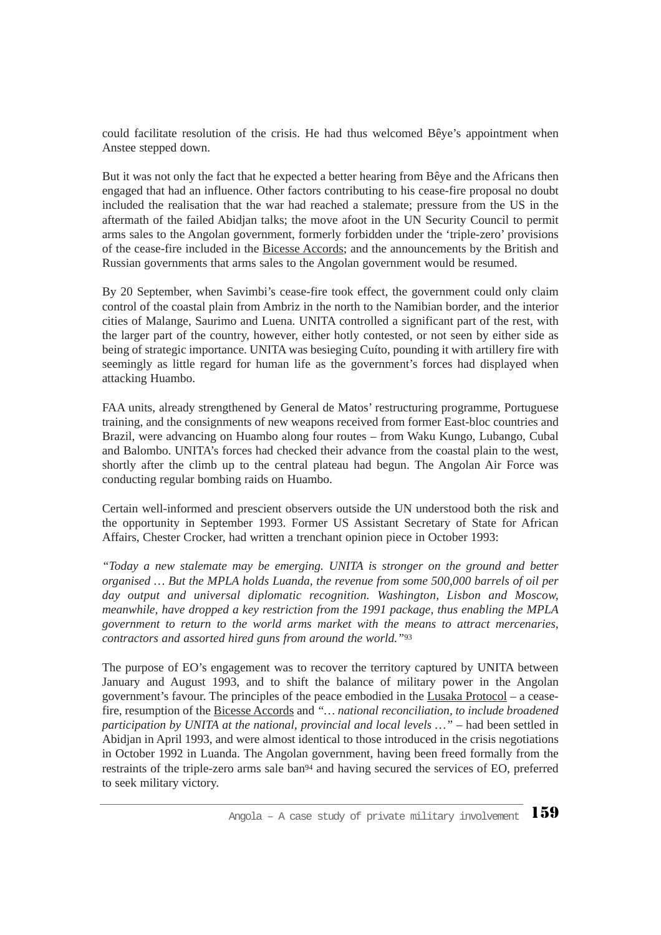could facilitate resolution of the crisis. He had thus welcomed Bêye's appointment when Anstee stepped down.

But it was not only the fact that he expected a better hearing from Bêye and the Africans then engaged that had an influence. Other factors contributing to his cease-fire proposal no doubt included the realisation that the war had reached a stalemate; pressure from the US in the aftermath of the failed Abidjan talks; the move afoot in the UN Security Council to permit arms sales to the Angolan government, formerly forbidden under the 'triple-zero' provisions of the cease-fire included in the Bicesse Accords; and the announcements by the British and Russian governments that arms sales to the Angolan government would be resumed.

By 20 September, when Savimbi's cease-fire took effect, the government could only claim control of the coastal plain from Ambriz in the north to the Namibian border, and the interior cities of Malange, Saurimo and Luena. UNITA controlled a significant part of the rest, with the larger part of the country, however, either hotly contested, or not seen by either side as being of strategic importance. UNITA was besieging Cuíto, pounding it with artillery fire with seemingly as little regard for human life as the government's forces had displayed when attacking Huambo.

FAA units, already strengthened by General de Matos' restructuring programme, Portuguese training, and the consignments of new weapons received from former East-bloc countries and Brazil, were advancing on Huambo along four routes – from Waku Kungo, Lubango, Cubal and Balombo. UNITA's forces had checked their advance from the coastal plain to the west, shortly after the climb up to the central plateau had begun. The Angolan Air Force was conducting regular bombing raids on Huambo.

Certain well-informed and prescient observers outside the UN understood both the risk and the opportunity in September 1993. Former US Assistant Secretary of State for African Affairs, Chester Crocker, had written a trenchant opinion piece in October 1993:

*"Today a new stalemate may be emerging. UNITA is stronger on the ground and better organised … But the MPLA holds Luanda, the revenue from some 500,000 barrels of oil per day output and universal diplomatic recognition. Washington, Lisbon and Moscow, meanwhile, have dropped a key restriction from the 1991 package, thus enabling the MPLA government to return to the world arms market with the means to attract mercenaries, contractors and assorted hired guns from around the world."*<sup>93</sup>

The purpose of EO's engagement was to recover the territory captured by UNITA between January and August 1993, and to shift the balance of military power in the Angolan government's favour. The principles of the peace embodied in the Lusaka Protocol – a ceasefire, resumption of the Bicesse Accords and *"… national reconciliation, to include broadened participation by UNITA at the national, provincial and local levels …"* – had been settled in Abidjan in April 1993, and were almost identical to those introduced in the crisis negotiations in October 1992 in Luanda. The Angolan government, having been freed formally from the restraints of the triple-zero arms sale ban94 and having secured the services of EO, preferred to seek military victory.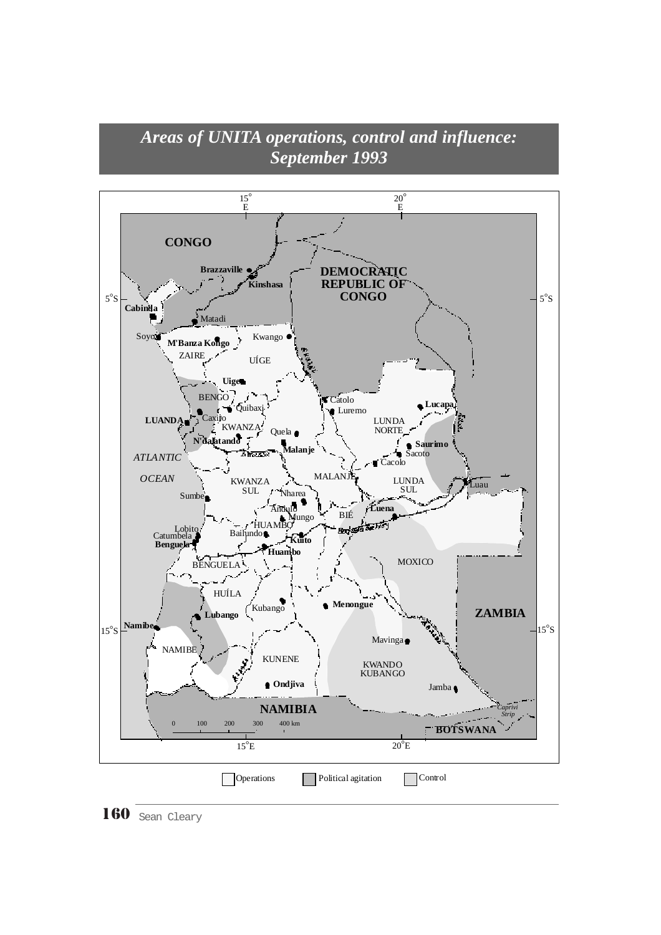# *Areas of UNITA operations, control and influence: September 1993*



160 Sean Cleary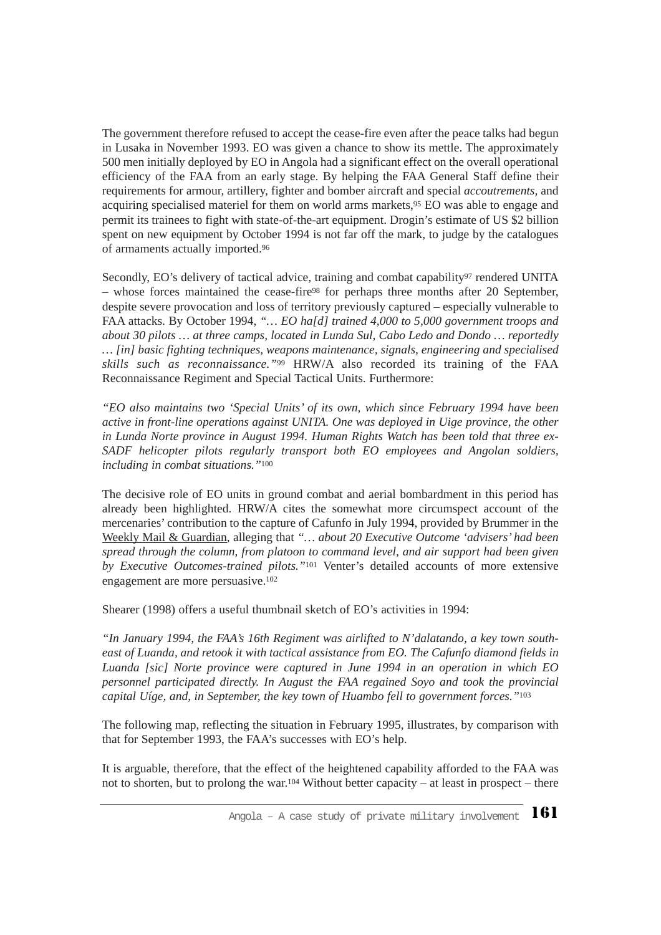The government therefore refused to accept the cease-fire even after the peace talks had begun in Lusaka in November 1993. EO was given a chance to show its mettle. The approximately 500 men initially deployed by EO in Angola had a significant effect on the overall operational efficiency of the FAA from an early stage. By helping the FAA General Staff define their requirements for armour, artillery, fighter and bomber aircraft and special *accoutrements,* and acquiring specialised materiel for them on world arms markets,95 EO was able to engage and permit its trainees to fight with state-of-the-art equipment. Drogin's estimate of US \$2 billion spent on new equipment by October 1994 is not far off the mark, to judge by the catalogues of armaments actually imported.96

Secondly, EO's delivery of tactical advice, training and combat capability<sup>97</sup> rendered UNITA – whose forces maintained the cease-fire98 for perhaps three months after 20 September, despite severe provocation and loss of territory previously captured – especially vulnerable to FAA attacks. By October 1994, *"… EO ha[d] trained 4,000 to 5,000 government troops and about 30 pilots … at three camps, located in Lunda Sul, Cabo Ledo and Dondo … reportedly … [in] basic fighting techniques, weapons maintenance, signals, engineering and specialised skills such as reconnaissance."*<sup>99</sup> HRW/A also recorded its training of the FAA Reconnaissance Regiment and Special Tactical Units. Furthermore:

*"EO also maintains two 'Special Units' of its own, which since February 1994 have been active in front-line operations against UNITA. One was deployed in Uige province, the other in Lunda Norte province in August 1994. Human Rights Watch has been told that three ex-SADF helicopter pilots regularly transport both EO employees and Angolan soldiers, including in combat situations."*<sup>100</sup>

The decisive role of EO units in ground combat and aerial bombardment in this period has already been highlighted. HRW/A cites the somewhat more circumspect account of the mercenaries' contribution to the capture of Cafunfo in July 1994, provided by Brummer in the Weekly Mail & Guardian, alleging that *"… about 20 Executive Outcome 'advisers' had been spread through the column, from platoon to command level, and air support had been given by Executive Outcomes-trained pilots."*<sup>101</sup> Venter's detailed accounts of more extensive engagement are more persuasive.102

Shearer (1998) offers a useful thumbnail sketch of EO's activities in 1994:

*"In January 1994, the FAA's 16th Regiment was airlifted to N'dalatando, a key town southeast of Luanda, and retook it with tactical assistance from EO. The Cafunfo diamond fields in Luanda [sic] Norte province were captured in June 1994 in an operation in which EO personnel participated directly. In August the FAA regained Soyo and took the provincial capital Uíge, and, in September, the key town of Huambo fell to government forces."*<sup>103</sup>

The following map, reflecting the situation in February 1995, illustrates, by comparison with that for September 1993, the FAA's successes with EO's help.

It is arguable, therefore, that the effect of the heightened capability afforded to the FAA was not to shorten, but to prolong the war.104 Without better capacity – at least in prospect – there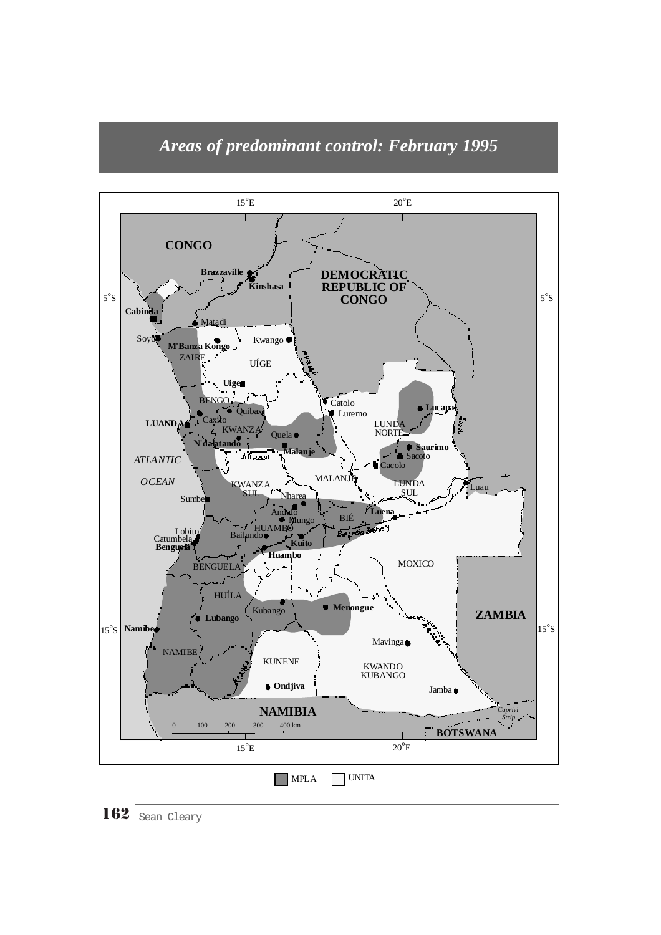



162 Sean Cleary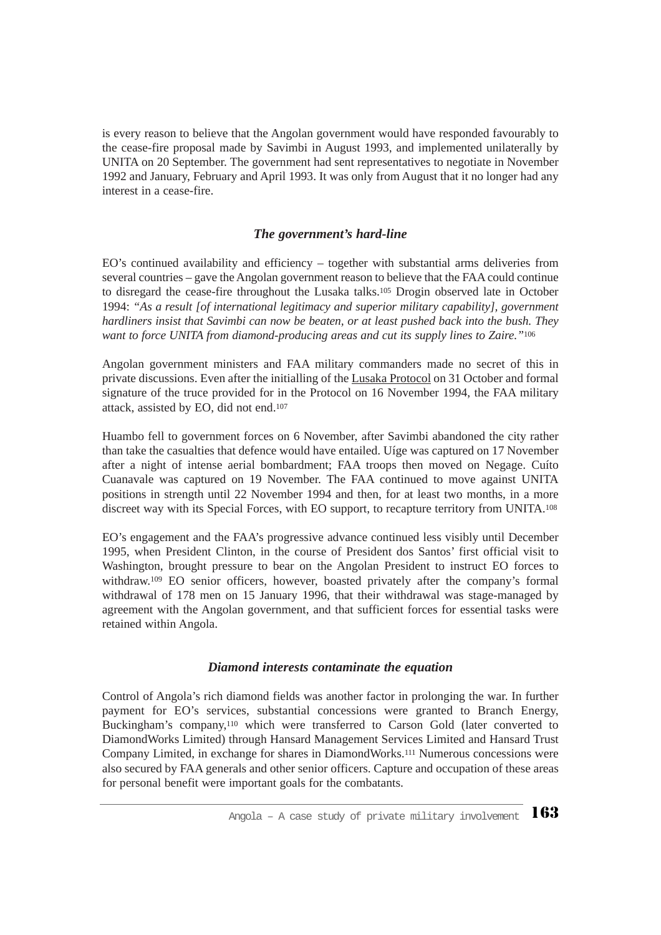is every reason to believe that the Angolan government would have responded favourably to the cease-fire proposal made by Savimbi in August 1993, and implemented unilaterally by UNITA on 20 September. The government had sent representatives to negotiate in November 1992 and January, February and April 1993. It was only from August that it no longer had any interest in a cease-fire.

### *The government's hard-line*

EO's continued availability and efficiency – together with substantial arms deliveries from several countries – gave the Angolan government reason to believe that the FAA could continue to disregard the cease-fire throughout the Lusaka talks.105 Drogin observed late in October 1994: *"As a result [of international legitimacy and superior military capability], government hardliners insist that Savimbi can now be beaten, or at least pushed back into the bush. They want to force UNITA from diamond-producing areas and cut its supply lines to Zaire."*<sup>106</sup>

Angolan government ministers and FAA military commanders made no secret of this in private discussions. Even after the initialling of the Lusaka Protocol on 31 October and formal signature of the truce provided for in the Protocol on 16 November 1994, the FAA military attack, assisted by EO, did not end.107

Huambo fell to government forces on 6 November, after Savimbi abandoned the city rather than take the casualties that defence would have entailed. Uíge was captured on 17 November after a night of intense aerial bombardment; FAA troops then moved on Negage. Cuíto Cuanavale was captured on 19 November. The FAA continued to move against UNITA positions in strength until 22 November 1994 and then, for at least two months, in a more discreet way with its Special Forces, with EO support, to recapture territory from UNITA.108

EO's engagement and the FAA's progressive advance continued less visibly until December 1995, when President Clinton, in the course of President dos Santos' first official visit to Washington, brought pressure to bear on the Angolan President to instruct EO forces to withdraw.<sup>109</sup> EO senior officers, however, boasted privately after the company's formal withdrawal of 178 men on 15 January 1996, that their withdrawal was stage-managed by agreement with the Angolan government, and that sufficient forces for essential tasks were retained within Angola.

#### *Diamond interests contaminate the equation*

Control of Angola's rich diamond fields was another factor in prolonging the war. In further payment for EO's services, substantial concessions were granted to Branch Energy, Buckingham's company,110 which were transferred to Carson Gold (later converted to DiamondWorks Limited) through Hansard Management Services Limited and Hansard Trust Company Limited, in exchange for shares in DiamondWorks.111 Numerous concessions were also secured by FAA generals and other senior officers. Capture and occupation of these areas for personal benefit were important goals for the combatants.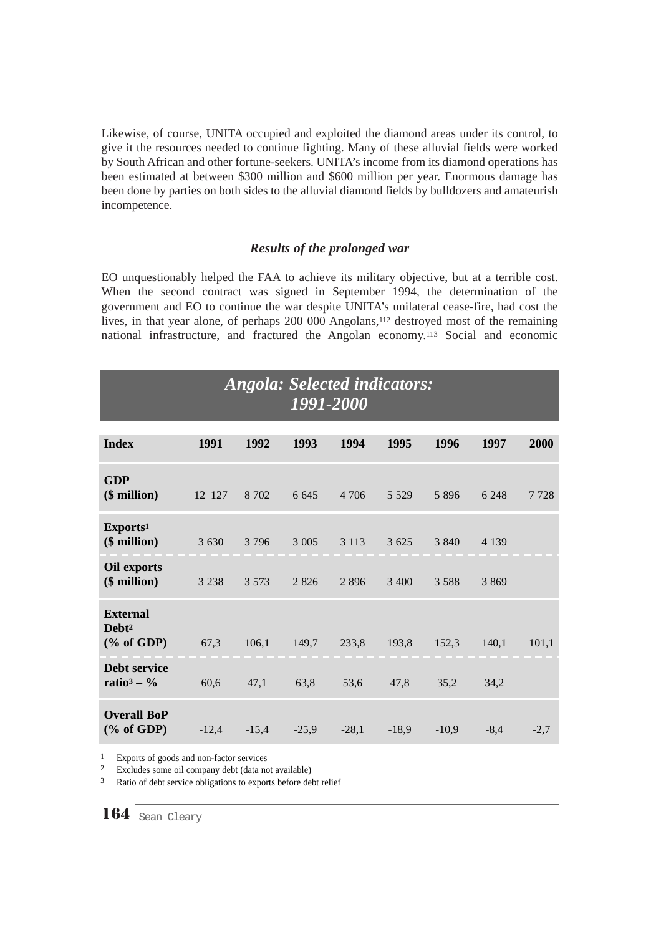Likewise, of course, UNITA occupied and exploited the diamond areas under its control, to give it the resources needed to continue fighting. Many of these alluvial fields were worked by South African and other fortune-seekers. UNITA's income from its diamond operations has been estimated at between \$300 million and \$600 million per year. Enormous damage has been done by parties on both sides to the alluvial diamond fields by bulldozers and amateurish incompetence.

#### *Results of the prolonged war*

EO unquestionably helped the FAA to achieve its military objective, but at a terrible cost. When the second contract was signed in September 1994, the determination of the government and EO to continue the war despite UNITA's unilateral cease-fire, had cost the lives, in that year alone, of perhaps 200 000 Angolans,<sup>112</sup> destroyed most of the remaining national infrastructure, and fractured the Angolan economy.113 Social and economic

## *Angola: Selected indicators: 1991-2000*

| <b>Index</b>                                          | 1991    | 1992    | 1993    | 1994    | 1995    | 1996    | 1997    | 2000   |
|-------------------------------------------------------|---------|---------|---------|---------|---------|---------|---------|--------|
| <b>GDP</b><br>(\$ million)                            | 12 127  | 8 7 0 2 | 6 6 4 5 | 4 706   | 5 5 2 9 | 5 8 9 6 | 6 2 4 8 | 7728   |
| Exports <sup>1</sup><br>$($$ million $)$              | 3 6 3 0 | 3 7 9 6 | 3 0 0 5 | 3 1 1 3 | 3 6 25  | 3 8 4 0 | 4 1 3 9 |        |
| Oil exports<br>$($$ million $)$                       | 3 2 3 8 | 3 5 7 3 | 2826    | 2896    | 3 4 0 0 | 3 5 8 8 | 3 8 6 9 |        |
| <b>External</b><br>Debt <sup>2</sup><br>$(\%$ of GDP) | 67,3    | 106,1   | 149,7   | 233,8   | 193,8   | 152,3   | 140,1   | 101,1  |
| Debt service<br>ratio <sup>3</sup> – $\%$             | 60,6    | 47,1    | 63,8    | 53,6    | 47,8    | 35,2    | 34,2    |        |
| <b>Overall BoP</b><br>$(\%$ of GDP)                   | $-12,4$ | $-15,4$ | $-25,9$ | $-28,1$ | $-18,9$ | $-10,9$ | $-8,4$  | $-2,7$ |

<sup>1</sup> Exports of goods and non-factor services

<sup>2</sup> Excludes some oil company debt (data not available)

<sup>3</sup> Ratio of debt service obligations to exports before debt relief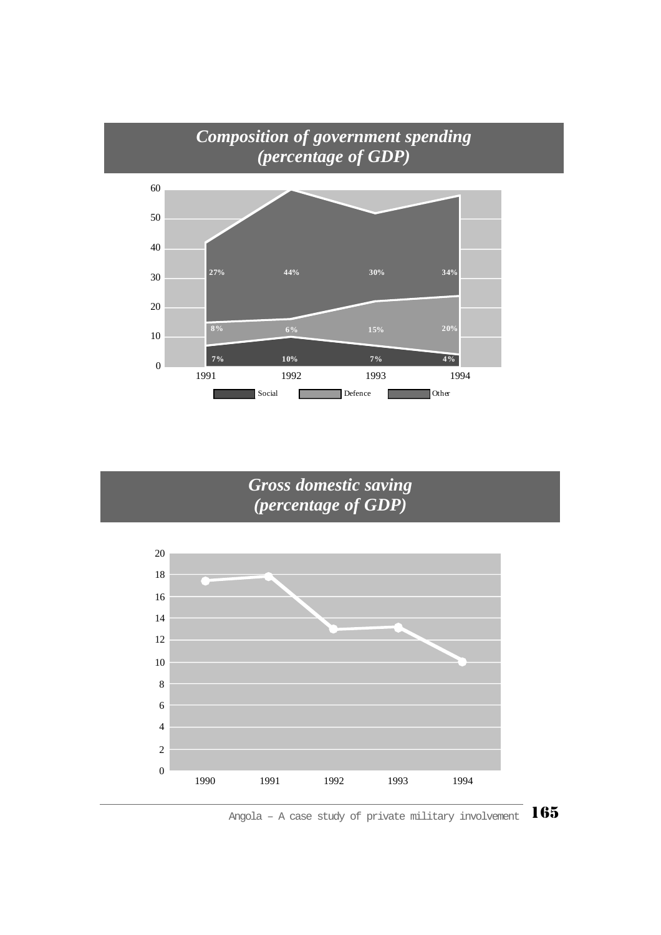

# *Gross domestic saving (percentage of GDP)*



Angola – A case study of private military involvement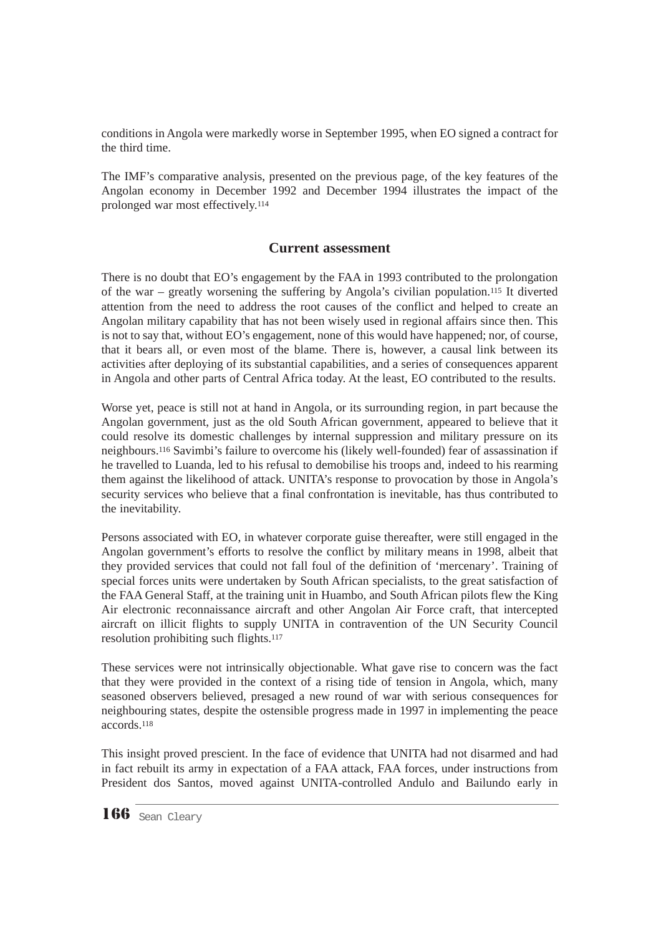conditions in Angola were markedly worse in September 1995, when EO signed a contract for the third time.

The IMF's comparative analysis, presented on the previous page, of the key features of the Angolan economy in December 1992 and December 1994 illustrates the impact of the prolonged war most effectively.114

#### **Current assessment**

There is no doubt that EO's engagement by the FAA in 1993 contributed to the prolongation of the war – greatly worsening the suffering by Angola's civilian population.115 It diverted attention from the need to address the root causes of the conflict and helped to create an Angolan military capability that has not been wisely used in regional affairs since then. This is not to say that, without EO's engagement, none of this would have happened; nor, of course, that it bears all, or even most of the blame. There is, however, a causal link between its activities after deploying of its substantial capabilities, and a series of consequences apparent in Angola and other parts of Central Africa today. At the least, EO contributed to the results.

Worse yet, peace is still not at hand in Angola, or its surrounding region, in part because the Angolan government, just as the old South African government, appeared to believe that it could resolve its domestic challenges by internal suppression and military pressure on its neighbours.116 Savimbi's failure to overcome his (likely well-founded) fear of assassination if he travelled to Luanda, led to his refusal to demobilise his troops and, indeed to his rearming them against the likelihood of attack. UNITA's response to provocation by those in Angola's security services who believe that a final confrontation is inevitable, has thus contributed to the inevitability.

Persons associated with EO, in whatever corporate guise thereafter, were still engaged in the Angolan government's efforts to resolve the conflict by military means in 1998, albeit that they provided services that could not fall foul of the definition of 'mercenary'. Training of special forces units were undertaken by South African specialists, to the great satisfaction of the FAA General Staff, at the training unit in Huambo, and South African pilots flew the King Air electronic reconnaissance aircraft and other Angolan Air Force craft, that intercepted aircraft on illicit flights to supply UNITA in contravention of the UN Security Council resolution prohibiting such flights.117

These services were not intrinsically objectionable. What gave rise to concern was the fact that they were provided in the context of a rising tide of tension in Angola, which, many seasoned observers believed, presaged a new round of war with serious consequences for neighbouring states, despite the ostensible progress made in 1997 in implementing the peace accords.118

This insight proved prescient. In the face of evidence that UNITA had not disarmed and had in fact rebuilt its army in expectation of a FAA attack, FAA forces, under instructions from President dos Santos, moved against UNITA-controlled Andulo and Bailundo early in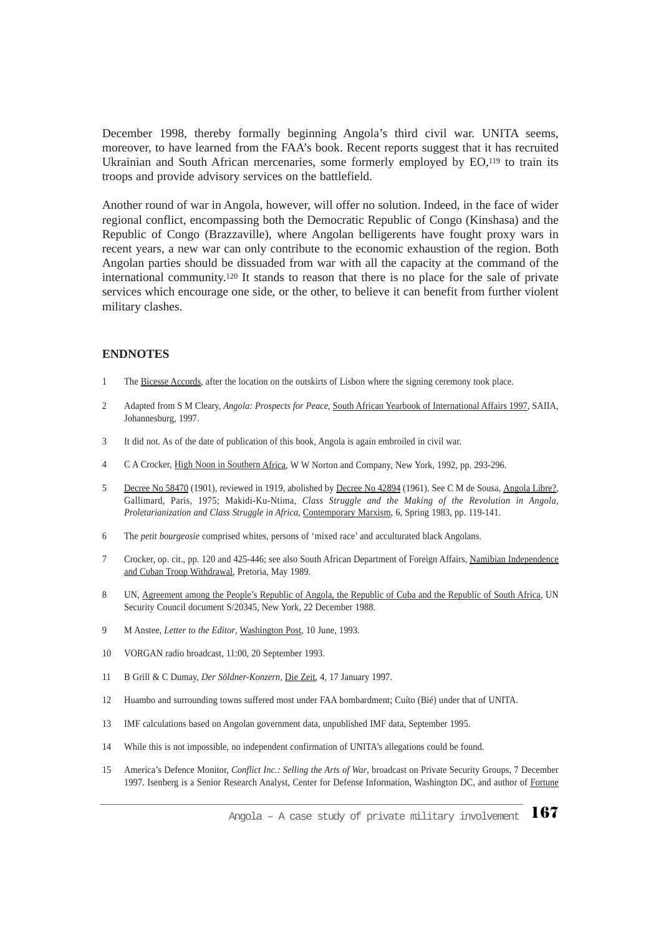December 1998, thereby formally beginning Angola's third civil war. UNITA seems, moreover, to have learned from the FAA's book. Recent reports suggest that it has recruited Ukrainian and South African mercenaries, some formerly employed by EO,<sup>119</sup> to train its troops and provide advisory services on the battlefield.

Another round of war in Angola, however, will offer no solution. Indeed, in the face of wider regional conflict, encompassing both the Democratic Republic of Congo (Kinshasa) and the Republic of Congo (Brazzaville), where Angolan belligerents have fought proxy wars in recent years, a new war can only contribute to the economic exhaustion of the region. Both Angolan parties should be dissuaded from war with all the capacity at the command of the international community.120 It stands to reason that there is no place for the sale of private services which encourage one side, or the other, to believe it can benefit from further violent military clashes.

#### **ENDNOTES**

- 1 The Bicesse Accords, after the location on the outskirts of Lisbon where the signing ceremony took place.
- 2 Adapted from S M Cleary, *Angola: Prospects for Peace*, South African Yearbook of International Affairs 1997, SAIIA, Johannesburg, 1997.
- 3 It did not. As of the date of publication of this book, Angola is again embroiled in civil war.
- 4 C A Crocker, High Noon in Southern Africa, W W Norton and Company, New York, 1992, pp. 293-296.
- 5 Decree No 58470 (1901), reviewed in 1919, abolished by Decree No 42894 (1961). See C M de Sousa, Angola Libre?, Gallimard, Paris, 1975; Makidi-Ku-Ntima, *Class Struggle and the Making of the Revolution in Angola, Proletarianization and Class Struggle in Africa*, Contemporary Marxism, 6, Spring 1983, pp. 119-141.
- 6 The *petit bourgeosie* comprised whites, persons of 'mixed race' and acculturated black Angolans.
- 7 Crocker, op. cit., pp. 120 and 425-446; see also South African Department of Foreign Affairs, Namibian Independence and Cuban Troop Withdrawal, Pretoria, May 1989.
- 8 UN, Agreement among the People's Republic of Angola, the Republic of Cuba and the Republic of South Africa, UN Security Council document S/20345, New York, 22 December 1988.
- 9 M Anstee, *Letter to the Editor*, Washington Post, 10 June, 1993.
- 10 VORGAN radio broadcast, 11:00, 20 September 1993.
- 11 B Grill & C Dumay, *Der Söldner-Konzern,* Die Zeit, 4, 17 January 1997.
- 12 Huambo and surrounding towns suffered most under FAA bombardment; Cuíto (Bié) under that of UNITA.
- 13 IMF calculations based on Angolan government data, unpublished IMF data, September 1995.
- 14 While this is not impossible, no independent confirmation of UNITA's allegations could be found.
- 15 America's Defence Monitor, *Conflict Inc.: Selling the Arts of War*, broadcast on Private Security Groups, 7 December 1997. Isenberg is a Senior Research Analyst, Center for Defense Information, Washington DC, and author of Fortune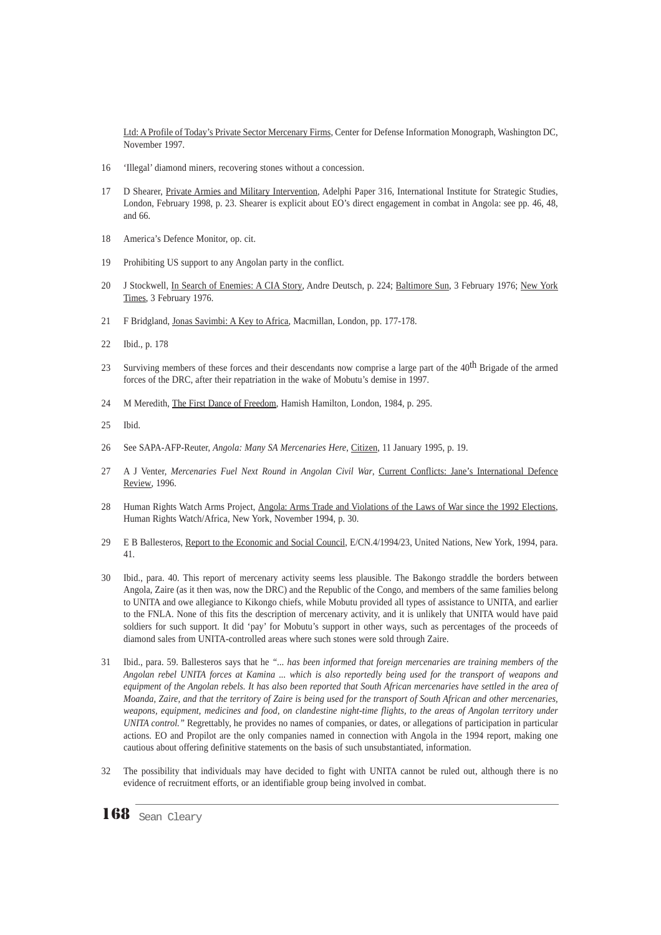Ltd: A Profile of Today's Private Sector Mercenary Firms, Center for Defense Information Monograph, Washington DC, November 1997.

- 16 'Illegal' diamond miners, recovering stones without a concession.
- 17 D Shearer, Private Armies and Military Intervention, Adelphi Paper 316, International Institute for Strategic Studies, London, February 1998, p. 23. Shearer is explicit about EO's direct engagement in combat in Angola: see pp. 46, 48, and 66.
- 18 America's Defence Monitor, op. cit.
- 19 Prohibiting US support to any Angolan party in the conflict.
- 20 J Stockwell, In Search of Enemies: A CIA Story, Andre Deutsch, p. 224; Baltimore Sun, 3 February 1976; New York Times, 3 February 1976.
- 21 F Bridgland, Jonas Savimbi: A Key to Africa, Macmillan, London, pp. 177-178.
- 22 Ibid., p. 178
- 23 Surviving members of these forces and their descendants now comprise a large part of the 40<sup>th</sup> Brigade of the armed forces of the DRC, after their repatriation in the wake of Mobutu's demise in 1997.
- 24 M Meredith, The First Dance of Freedom, Hamish Hamilton, London, 1984, p. 295.
- 25 Ibid.
- 26 See SAPA-AFP-Reuter, *Angola: Many SA Mercenaries Here*, Citizen, 11 January 1995, p. 19.
- 27 A J Venter, *Mercenaries Fuel Next Round in Angolan Civil War*, Current Conflicts: Jane's International Defence Review, 1996.
- 28 Human Rights Watch Arms Project, Angola: Arms Trade and Violations of the Laws of War since the 1992 Elections, Human Rights Watch/Africa, New York, November 1994, p. 30.
- 29 E B Ballesteros, Report to the Economic and Social Council, E/CN.4/1994/23, United Nations, New York, 1994, para. 41.
- 30 Ibid., para. 40. This report of mercenary activity seems less plausible. The Bakongo straddle the borders between Angola, Zaire (as it then was, now the DRC) and the Republic of the Congo, and members of the same families belong to UNITA and owe allegiance to Kikongo chiefs, while Mobutu provided all types of assistance to UNITA, and earlier to the FNLA. None of this fits the description of mercenary activity, and it is unlikely that UNITA would have paid soldiers for such support. It did 'pay' for Mobutu's support in other ways, such as percentages of the proceeds of diamond sales from UNITA-controlled areas where such stones were sold through Zaire.
- 31 Ibid., para. 59. Ballesteros says that he *"... has been informed that foreign mercenaries are training members of the Angolan rebel UNITA forces at Kamina ... which is also reportedly being used for the transport of weapons and equipment of the Angolan rebels. It has also been reported that South African mercenaries have settled in the area of Moanda, Zaire, and that the territory of Zaire is being used for the transport of South African and other mercenaries, weapons, equipment, medicines and food, on clandestine night-time flights, to the areas of Angolan territory under UNITA control."* Regrettably, he provides no names of companies, or dates, or allegations of participation in particular actions. EO and Propilot are the only companies named in connection with Angola in the 1994 report, making one cautious about offering definitive statements on the basis of such unsubstantiated, information.
- 32 The possibility that individuals may have decided to fight with UNITA cannot be ruled out, although there is no evidence of recruitment efforts, or an identifiable group being involved in combat.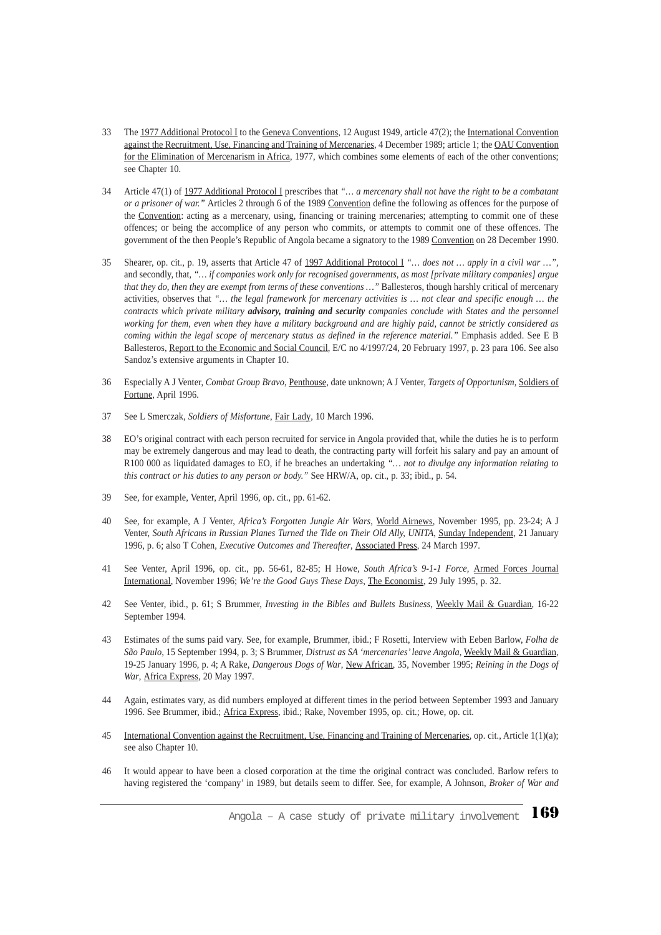- 33 The 1977 Additional Protocol I to the Geneva Conventions, 12 August 1949, article 47(2); the International Convention against the Recruitment, Use, Financing and Training of Mercenaries, 4 December 1989; article 1; the OAU Convention for the Elimination of Mercenarism in Africa, 1977, which combines some elements of each of the other conventions; see Chapter 10.
- 34 Article 47(1) of 1977 Additional Protocol I prescribes that *"… a mercenary shall not have the right to be a combatant or a prisoner of war."* Articles 2 through 6 of the 1989 Convention define the following as offences for the purpose of the Convention: acting as a mercenary, using, financing or training mercenaries; attempting to commit one of these offences; or being the accomplice of any person who commits, or attempts to commit one of these offences. The government of the then People's Republic of Angola became a signatory to the 1989 Convention on 28 December 1990.
- 35 Shearer, op. cit., p. 19, asserts that Article 47 of 1997 Additional Protocol I *"… does not … apply in a civil war …"*, and secondly, that, *"… if companies work only for recognised governments, as most [private military companies] argue that they do, then they are exempt from terms of these conventions …"* Ballesteros, though harshly critical of mercenary activities, observes that *"… the legal framework for mercenary activities is … not clear and specific enough … the contracts which private military advisory, training and security companies conclude with States and the personnel working for them, even when they have a military background and are highly paid, cannot be strictly considered as coming within the legal scope of mercenary status as defined in the reference material."* Emphasis added. See E B Ballesteros, Report to the Economic and Social Council, E/C no 4/1997/24, 20 February 1997, p. 23 para 106. See also Sandoz's extensive arguments in Chapter 10.
- 36 Especially A J Venter, *Combat Group Bravo*, Penthouse, date unknown; A J Venter, *Targets of Opportunism*, Soldiers of Fortune, April 1996.
- 37 See L Smerczak, *Soldiers of Misfortune*, Fair Lady, 10 March 1996.
- 38 EO's original contract with each person recruited for service in Angola provided that, while the duties he is to perform may be extremely dangerous and may lead to death, the contracting party will forfeit his salary and pay an amount of R100 000 as liquidated damages to EO, if he breaches an undertaking *"… not to divulge any information relating to this contract or his duties to any person or body."* See HRW/A, op. cit., p. 33; ibid., p. 54.
- 39 See, for example, Venter, April 1996, op. cit., pp. 61-62.
- 40 See, for example, A J Venter, *Africa's Forgotten Jungle Air Wars*, World Airnews, November 1995, pp. 23-24; A J Venter, *South Africans in Russian Planes Turned the Tide on Their Old Ally, UNITA*, Sunday Independent, 21 January 1996, p. 6; also T Cohen, *Executive Outcomes and Thereafter*, Associated Press, 24 March 1997.
- 41 See Venter, April 1996, op. cit., pp. 56-61, 82-85; H Howe, *South Africa's 9-1-1 Force,* Armed Forces Journal International, November 1996; *We're the Good Guys These Days*, The Economist, 29 July 1995, p. 32.
- 42 See Venter, ibid., p. 61; S Brummer, *Investing in the Bibles and Bullets Business*, Weekly Mail & Guardian, 16-22 September 1994.
- 43 Estimates of the sums paid vary. See, for example, Brummer, ibid.; F Rosetti, Interview with Eeben Barlow, *Folha de São Paulo,* 15 September 1994, p. 3; S Brummer, *Distrust as SA 'mercenaries' leave Angola*, Weekly Mail & Guardian, 19-25 January 1996, p. 4; A Rake, *Dangerous Dogs of War*, New African, 35, November 1995; *Reining in the Dogs of War*, Africa Express, 20 May 1997.
- 44 Again, estimates vary, as did numbers employed at different times in the period between September 1993 and January 1996. See Brummer, ibid.; Africa Express, ibid.; Rake, November 1995, op. cit.; Howe, op. cit.
- 45 International Convention against the Recruitment, Use, Financing and Training of Mercenaries, op. cit., Article 1(1)(a); see also Chapter 10.
- 46 It would appear to have been a closed corporation at the time the original contract was concluded. Barlow refers to having registered the 'company' in 1989, but details seem to differ. See, for example, A Johnson, *Broker of War and*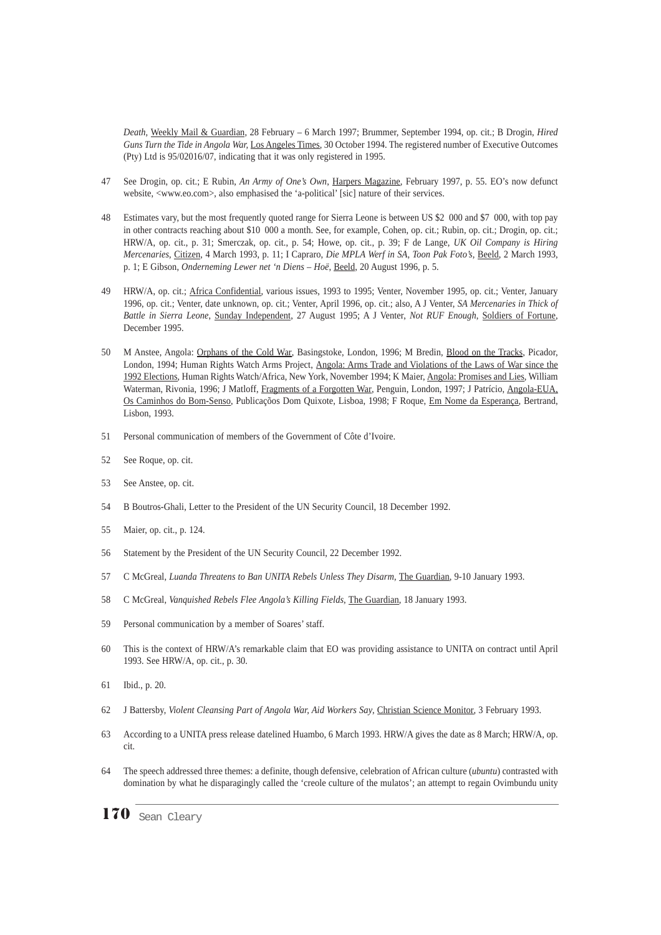*Death,* Weekly Mail & Guardian, 28 February – 6 March 1997; Brummer, September 1994, op. cit.; B Drogin, *Hired Guns Turn the Tide in Angola War,* Los Angeles Times, 30 October 1994. The registered number of Executive Outcomes (Pty) Ltd is 95/02016/07, indicating that it was only registered in 1995.

- 47 See Drogin, op. cit.; E Rubin, *An Army of One's Own*, Harpers Magazine, February 1997, p. 55. EO's now defunct website, <www.eo.com>, also emphasised the 'a-political' [sic] nature of their services.
- 48 Estimates vary, but the most frequently quoted range for Sierra Leone is between US \$2 000 and \$7 000, with top pay in other contracts reaching about \$10 000 a month. See, for example, Cohen, op. cit.; Rubin, op. cit.; Drogin, op. cit.; HRW/A, op. cit., p. 31; Smerczak, op. cit., p. 54; Howe, op. cit., p. 39; F de Lange, *UK Oil Company is Hiring Mercenaries*, Citizen, 4 March 1993, p. 11; I Capraro, *Die MPLA Werf in SA, Toon Pak Foto's,* Beeld, 2 March 1993, p. 1; E Gibson, *Onderneming Lewer net 'n Diens – Hoë*, Beeld, 20 August 1996, p. 5.
- 49 HRW/A, op. cit.; Africa Confidential, various issues, 1993 to 1995; Venter, November 1995, op. cit.; Venter, January 1996, op. cit.; Venter, date unknown, op. cit.; Venter, April 1996, op. cit.; also, A J Venter, *SA Mercenaries in Thick of Battle in Sierra Leone*, Sunday Independent, 27 August 1995; A J Venter, *Not RUF Enough*, Soldiers of Fortune, December 1995.
- 50 M Anstee, Angola: Orphans of the Cold War, Basingstoke, London, 1996; M Bredin, Blood on the Tracks, Picador, London, 1994; Human Rights Watch Arms Project, Angola: Arms Trade and Violations of the Laws of War since the 1992 Elections, Human Rights Watch/Africa, New York, November 1994; K Maier, Angola: Promises and Lies, William Waterman, Rivonia, 1996; J Matloff, Fragments of a Forgotten War, Penguin, London, 1997; J Patrício, Angola-EUA, Os Caminhos do Bom-Senso, Publicaçõos Dom Quixote, Lisboa, 1998; F Roque, Em Nome da Esperança*,* Bertrand, Lisbon, 1993.
- 51 Personal communication of members of the Government of Côte d'Ivoire.
- 52 See Roque, op. cit.
- 53 See Anstee, op. cit.
- 54 B Boutros-Ghali, Letter to the President of the UN Security Council, 18 December 1992.
- 55 Maier, op. cit., p. 124.
- 56 Statement by the President of the UN Security Council, 22 December 1992.
- 57 C McGreal, *Luanda Threatens to Ban UNITA Rebels Unless They Disarm*, The Guardian, 9-10 January 1993.
- 58 C McGreal, *Vanquished Rebels Flee Angola's Killing Fields*, The Guardian, 18 January 1993.
- 59 Personal communication by a member of Soares' staff.
- 60 This is the context of HRW/A's remarkable claim that EO was providing assistance to UNITA on contract until April 1993. See HRW/A, op. cit., p. 30.
- 61 Ibid., p. 20.
- 62 J Battersby, *Violent Cleansing Part of Angola War, Aid Workers Say*, Christian Science Monitor, 3 February 1993.
- 63 According to a UNITA press release datelined Huambo, 6 March 1993. HRW/A gives the date as 8 March; HRW/A, op. cit.
- 64 The speech addressed three themes: a definite, though defensive, celebration of African culture (*ubuntu*) contrasted with domination by what he disparagingly called the 'creole culture of the mulatos'; an attempt to regain Ovimbundu unity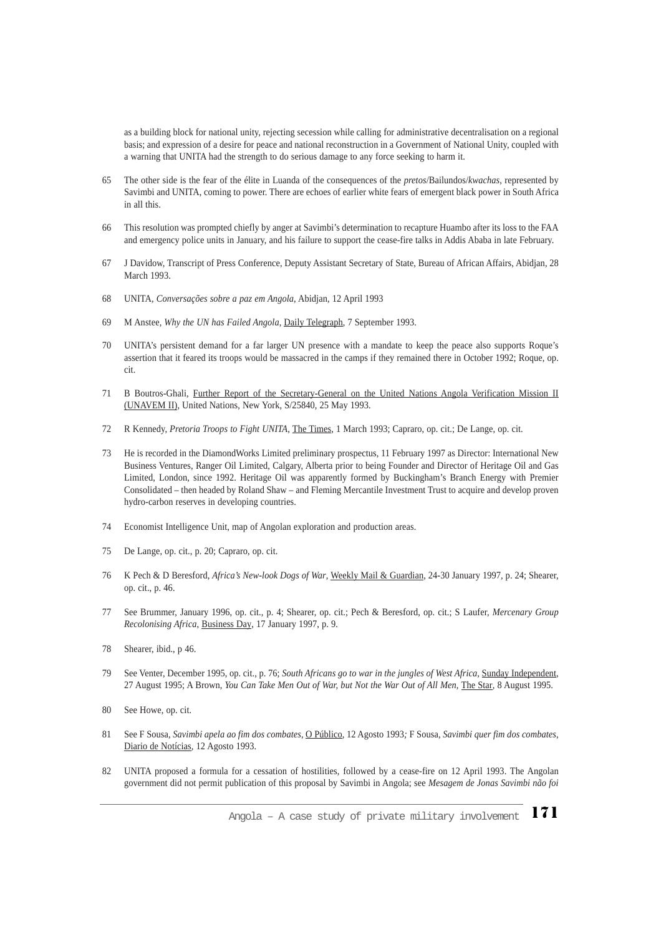as a building block for national unity, rejecting secession while calling for administrative decentralisation on a regional basis; and expression of a desire for peace and national reconstruction in a Government of National Unity, coupled with a warning that UNITA had the strength to do serious damage to any force seeking to harm it.

- 65 The other side is the fear of the élite in Luanda of the consequences of the *pretos*/Bailundos/*kwachas*, represented by Savimbi and UNITA, coming to power. There are echoes of earlier white fears of emergent black power in South Africa in all this.
- 66 This resolution was prompted chiefly by anger at Savimbi's determination to recapture Huambo after its loss to the FAA and emergency police units in January, and his failure to support the cease-fire talks in Addis Ababa in late February.
- 67 J Davidow, Transcript of Press Conference, Deputy Assistant Secretary of State, Bureau of African Affairs, Abidjan, 28 March 1993.
- 68 UNITA*, Conversações sobre a paz em Angola*, Abidjan, 12 April 1993
- 69 M Anstee, *Why the UN has Failed Angola*, Daily Telegraph, 7 September 1993.
- 70 UNITA's persistent demand for a far larger UN presence with a mandate to keep the peace also supports Roque's assertion that it feared its troops would be massacred in the camps if they remained there in October 1992; Roque, op. cit.
- 71 B Boutros-Ghali, Further Report of the Secretary-General on the United Nations Angola Verification Mission II (UNAVEM II), United Nations, New York, S/25840, 25 May 1993.
- 72 R Kennedy, *Pretoria Troops to Fight UNITA*, The Times, 1 March 1993; Capraro, op. cit.; De Lange, op. cit.
- 73 He is recorded in the DiamondWorks Limited preliminary prospectus, 11 February 1997 as Director: International New Business Ventures, Ranger Oil Limited, Calgary, Alberta prior to being Founder and Director of Heritage Oil and Gas Limited, London, since 1992. Heritage Oil was apparently formed by Buckingham's Branch Energy with Premier Consolidated – then headed by Roland Shaw – and Fleming Mercantile Investment Trust to acquire and develop proven hydro-carbon reserves in developing countries.
- 74 Economist Intelligence Unit, map of Angolan exploration and production areas.
- 75 De Lange, op. cit., p. 20; Capraro, op. cit.
- 76 K Pech & D Beresford, *Africa's New-look Dogs of War*, Weekly Mail & Guardian, 24-30 January 1997, p. 24; Shearer, op. cit., p. 46.
- 77 See Brummer, January 1996, op. cit., p. 4; Shearer, op. cit.; Pech & Beresford, op. cit.; S Laufer, *Mercenary Group Recolonising Africa*, Business Day, 17 January 1997, p. 9.
- 78 Shearer, ibid., p 46.
- 79 See Venter, December 1995, op. cit., p. 76; *South Africans go to war in the jungles of West Africa*, Sunday Independent, 27 August 1995; A Brown, *You Can Take Men Out of War, but Not the War Out of All Men*, The Star, 8 August 1995.
- 80 See Howe, op. cit.
- 81 See F Sousa, *Savimbi apela ao fim dos combates*, O Público, 12 Agosto 1993*;* F Sousa, *Savimbi quer fim dos combates*, Diario de Notícias, 12 Agosto 1993.
- 82 UNITA proposed a formula for a cessation of hostilities, followed by a cease-fire on 12 April 1993. The Angolan government did not permit publication of this proposal by Savimbi in Angola; see *Mesagem de Jonas Savimbi não foi*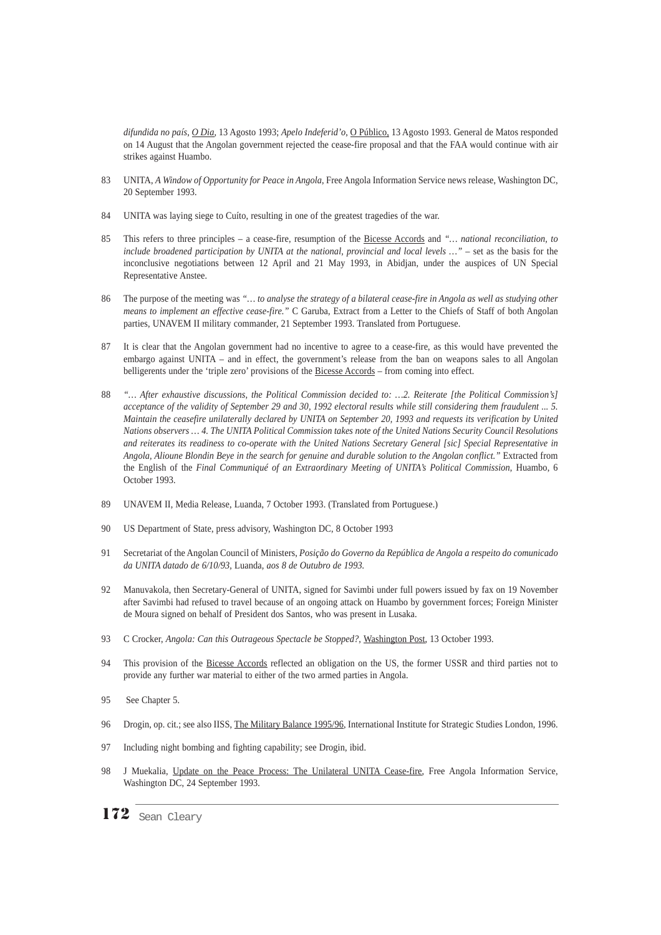*difundida no país*, *O Dia*, 13 Agosto 1993; *Apelo Indeferid'o*, O Público, 13 Agosto 1993. General de Matos responded on 14 August that the Angolan government rejected the cease-fire proposal and that the FAA would continue with air strikes against Huambo.

- 83 UNITA, *A Window of Opportunity for Peace in Angola*, Free Angola Information Service news release, Washington DC, 20 September 1993.
- 84 UNITA was laying siege to Cuíto, resulting in one of the greatest tragedies of the war.
- 85 This refers to three principles a cease-fire, resumption of the Bicesse Accords and *"… national reconciliation, to include broadened participation by UNITA at the national, provincial and local levels …"* – set as the basis for the inconclusive negotiations between 12 April and 21 May 1993, in Abidjan, under the auspices of UN Special Representative Anstee.
- 86 The purpose of the meeting was *"… to analyse the strategy of a bilateral cease-fire in Angola as well as studying other means to implement an effective cease-fire."* C Garuba, Extract from a Letter to the Chiefs of Staff of both Angolan parties, UNAVEM II military commander, 21 September 1993. Translated from Portuguese.
- 87 It is clear that the Angolan government had no incentive to agree to a cease-fire, as this would have prevented the embargo against UNITA – and in effect, the government's release from the ban on weapons sales to all Angolan belligerents under the 'triple zero' provisions of the Bicesse Accords – from coming into effect.
- 88 *"… After exhaustive discussions, the Political Commission decided to: …2. Reiterate [the Political Commission's] acceptance of the validity of September 29 and 30, 1992 electoral results while still considering them fraudulent ... 5. Maintain the ceasefire unilaterally declared by UNITA on September 20, 1993 and requests its verification by United Nations observers … 4. The UNITA Political Commission takes note of the United Nations Security Council Resolutions and reiterates its readiness to co-operate with the United Nations Secretary General [sic] Special Representative in Angola, Alioune Blondin Beye in the search for genuine and durable solution to the Angolan conflict."* Extracted from the English of the *Final Communiqué of an Extraordinary Meeting of UNITA's Political Commission*, Huambo, 6 October 1993.
- 89 UNAVEM II, Media Release, Luanda, 7 October 1993. (Translated from Portuguese.)
- 90 US Department of State, press advisory, Washington DC, 8 October 1993
- 91 Secretariat of the Angolan Council of Ministers, *Posição do Governo da República de Angola a respeito do comunicado da UNITA datado de 6/10/93,* Luanda*, aos 8 de Outubro de 1993.*
- 92 Manuvakola, then Secretary-General of UNITA, signed for Savimbi under full powers issued by fax on 19 November after Savimbi had refused to travel because of an ongoing attack on Huambo by government forces; Foreign Minister de Moura signed on behalf of President dos Santos, who was present in Lusaka.
- 93 C Crocker, *Angola: Can this Outrageous Spectacle be Stopped?,* Washington Post, 13 October 1993.
- 94 This provision of the Bicesse Accords reflected an obligation on the US, the former USSR and third parties not to provide any further war material to either of the two armed parties in Angola.
- 95 See Chapter 5.
- 96 Drogin, op. cit.; see also IISS, The Military Balance 1995/96, International Institute for Strategic Studies London, 1996.
- 97 Including night bombing and fighting capability; see Drogin, ibid.
- 98 J Muekalia, Update on the Peace Process: The Unilateral UNITA Cease-fire, Free Angola Information Service, Washington DC, 24 September 1993.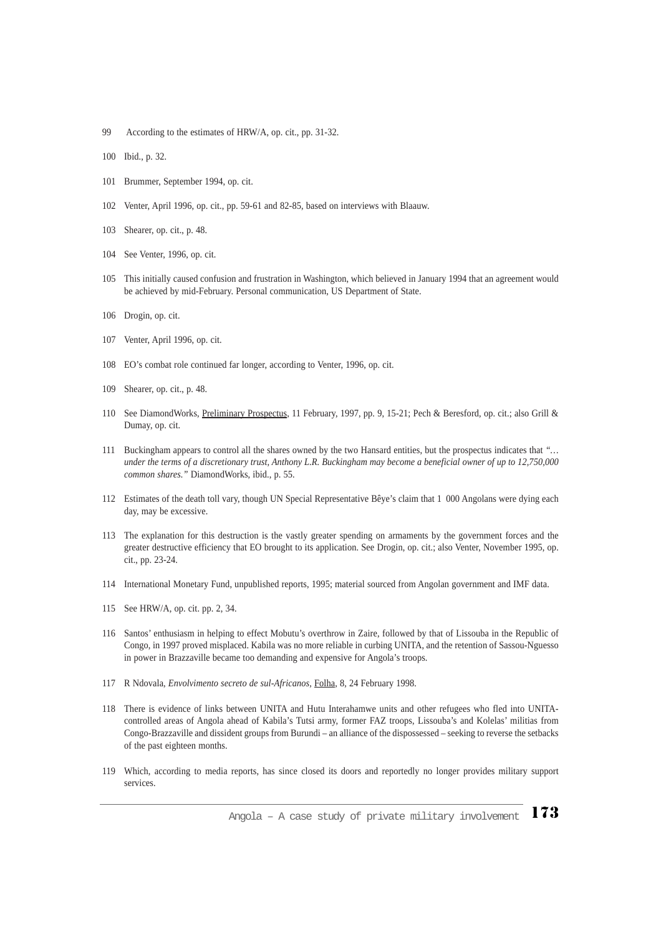- 99 According to the estimates of HRW/A, op. cit., pp. 31-32.
- 100 Ibid., p. 32.
- 101 Brummer, September 1994, op. cit.
- 102 Venter, April 1996, op. cit., pp. 59-61 and 82-85, based on interviews with Blaauw.
- 103 Shearer, op. cit., p. 48.
- 104 See Venter, 1996, op. cit.
- 105 This initially caused confusion and frustration in Washington, which believed in January 1994 that an agreement would be achieved by mid-February. Personal communication, US Department of State.
- 106 Drogin, op. cit.
- 107 Venter, April 1996, op. cit.
- 108 EO's combat role continued far longer, according to Venter, 1996, op. cit.
- 109 Shearer, op. cit., p. 48.
- 110 See DiamondWorks, Preliminary Prospectus, 11 February, 1997, pp. 9, 15-21; Pech & Beresford, op. cit.; also Grill & Dumay, op. cit.
- 111 Buckingham appears to control all the shares owned by the two Hansard entities, but the prospectus indicates that *"… under the terms of a discretionary trust, Anthony L.R. Buckingham may become a beneficial owner of up to 12,750,000 common shares."* DiamondWorks, ibid., p. 55.
- 112 Estimates of the death toll vary, though UN Special Representative Bêye's claim that 1 000 Angolans were dying each day, may be excessive.
- 113 The explanation for this destruction is the vastly greater spending on armaments by the government forces and the greater destructive efficiency that EO brought to its application. See Drogin, op. cit.; also Venter, November 1995, op. cit., pp. 23-24.
- 114 International Monetary Fund, unpublished reports, 1995; material sourced from Angolan government and IMF data.
- 115 See HRW/A, op. cit. pp. 2, 34.
- 116 Santos' enthusiasm in helping to effect Mobutu's overthrow in Zaire, followed by that of Lissouba in the Republic of Congo, in 1997 proved misplaced. Kabila was no more reliable in curbing UNITA, and the retention of Sassou-Nguesso in power in Brazzaville became too demanding and expensive for Angola's troops.
- 117 R Ndovala, *Envolvimento secreto de sul-Africanos,* Folha*,* 8*,* 24 February 1998.
- 118 There is evidence of links between UNITA and Hutu Interahamwe units and other refugees who fled into UNITAcontrolled areas of Angola ahead of Kabila's Tutsi army, former FAZ troops, Lissouba's and Kolelas' militias from Congo-Brazzaville and dissident groups from Burundi – an alliance of the dispossessed – seeking to reverse the setbacks of the past eighteen months.
- 119 Which, according to media reports, has since closed its doors and reportedly no longer provides military support services.